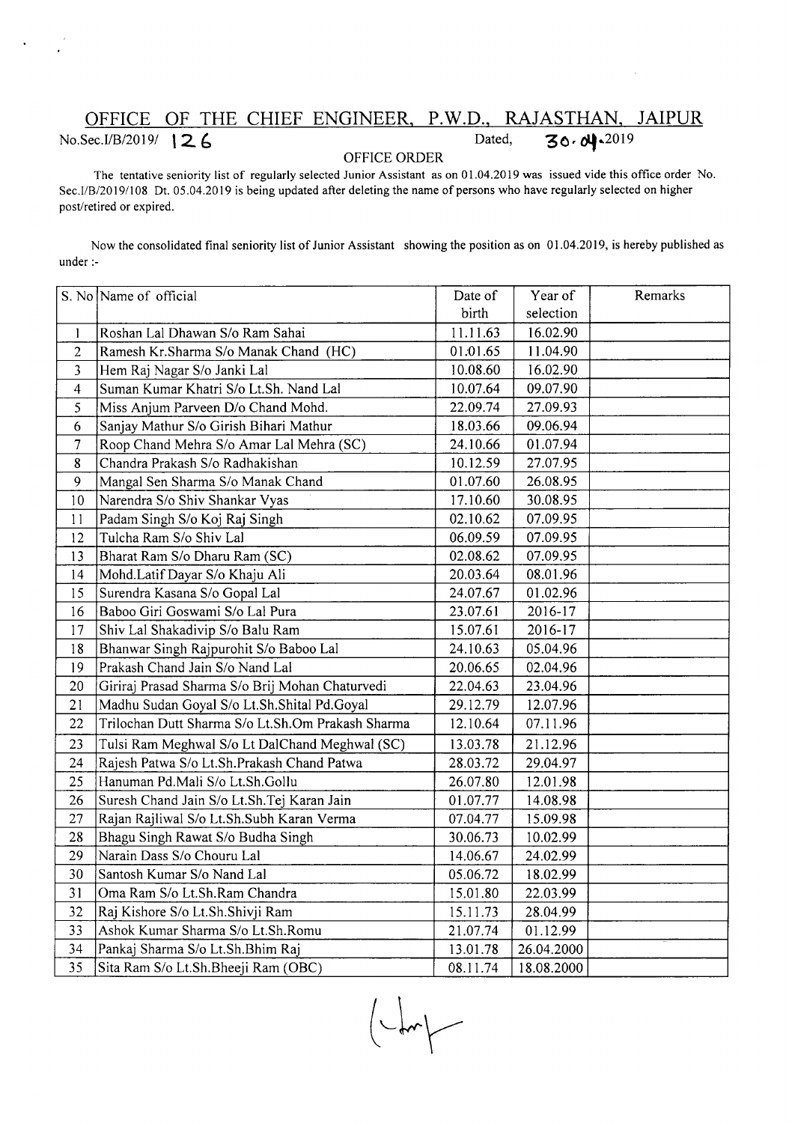## OFFICE OF THE CHIEF ENGINEER, P.W.D., RAJASTHAN, JAIPUR<br>Sec.I/B/2019/ **126** Dated, 30.0 00019 **No.Sec.I/B/2019/ 1 2. 6** Dated,

## OFFICE ORDER

The tentative seniority list of regularly selected Junior Assistant as on 01.04.2019 was issued vide this office order No. Sec.IIB/20 19/108 Dt. 05.04.2019 is being updated after deleting the name of persons who have regularly selected on higher post/retired or expired.

Now the consolidated final seniority list of Junior Assistant showing the position as on 01.04.2019, is hereby published as under :-

|                | S. No Name of official                            | Date of  | Year of    | Remarks |
|----------------|---------------------------------------------------|----------|------------|---------|
|                |                                                   | birth    | selection  |         |
| $\mathbf{l}$   | Roshan Lal Dhawan S/o Ram Sahai                   | 11.11.63 | 16.02.90   |         |
| $\overline{2}$ | Ramesh Kr.Sharma S/o Manak Chand (HC)             | 01.01.65 | 11.04.90   |         |
| 3              | Hem Raj Nagar S/o Janki Lal                       | 10.08.60 | 16.02.90   |         |
| $\overline{4}$ | Suman Kumar Khatri S/o Lt.Sh. Nand Lal            | 10.07.64 | 09.07.90   |         |
| 5              | Miss Anjum Parveen D/o Chand Mohd.                | 22.09.74 | 27.09.93   |         |
| 6              | Sanjay Mathur S/o Girish Bihari Mathur            | 18.03.66 | 09.06.94   |         |
| 7              | Roop Chand Mehra S/o Amar Lal Mehra (SC)          | 24.10.66 | 01.07.94   |         |
| 8              | Chandra Prakash S/o Radhakishan                   | 10.12.59 | 27.07.95   |         |
| 9              | Mangal Sen Sharma S/o Manak Chand                 | 01.07.60 | 26.08.95   |         |
| 10             | Narendra S/o Shiv Shankar Vyas                    | 17.10.60 | 30.08.95   |         |
| 11             | Padam Singh S/o Koj Raj Singh                     | 02.10.62 | 07.09.95   |         |
| 12             | Tulcha Ram S/o Shiv Lal                           | 06.09.59 | 07.09.95   |         |
| 13             | Bharat Ram S/o Dharu Ram (SC)                     | 02.08.62 | 07.09.95   |         |
| 14             | Mohd.Latif Dayar S/o Khaju Ali                    | 20.03.64 | 08.01.96   |         |
| 15             | Surendra Kasana S/o Gopal Lal                     | 24.07.67 | 01.02.96   |         |
| 16             | Baboo Giri Goswami S/o Lal Pura                   | 23.07.61 | 2016-17    |         |
| 17             | Shiv Lal Shakadivip S/o Balu Ram                  | 15.07.61 | 2016-17    |         |
| 18             | Bhanwar Singh Rajpurohit S/o Baboo Lal            | 24.10.63 | 05.04.96   |         |
| 19             | Prakash Chand Jain S/o Nand Lal                   | 20.06.65 | 02.04.96   |         |
| 20             | Giriraj Prasad Sharma S/o Brij Mohan Chaturvedi   | 22.04.63 | 23.04.96   |         |
| 21             | Madhu Sudan Goyal S/o Lt.Sh.Shital Pd.Goyal       | 29.12.79 | 12.07.96   |         |
| 22             | Trilochan Dutt Sharma S/o Lt.Sh.Om Prakash Sharma | 12.10.64 | 07.11.96   |         |
| 23             | Tulsi Ram Meghwal S/o Lt DalChand Meghwal (SC)    | 13.03.78 | 21.12.96   |         |
| 24             | Rajesh Patwa S/o Lt.Sh.Prakash Chand Patwa        | 28.03.72 | 29.04.97   |         |
| 25             | Hanuman Pd.Mali S/o Lt.Sh.Gollu                   | 26.07.80 | 12.01.98   |         |
| 26             | Suresh Chand Jain S/o Lt.Sh.Tej Karan Jain        | 01.07.77 | 14.08.98   |         |
| 27             | Rajan Rajliwal S/o Lt.Sh.Subh Karan Verma         | 07.04.77 | 15.09.98   |         |
| 28             | Bhagu Singh Rawat S/o Budha Singh                 | 30.06.73 | 10.02.99   |         |
| 29             | Narain Dass S/o Chouru Lal                        | 14.06.67 | 24.02.99   |         |
| 30             | Santosh Kumar S/o Nand Lal                        | 05.06.72 | 18.02.99   |         |
| 31             | Oma Ram S/o Lt.Sh.Ram Chandra                     | 15.01.80 | 22.03.99   |         |
| 32             | Raj Kishore S/o Lt.Sh.Shivji Ram                  | 15.11.73 | 28.04.99   |         |
| 33             | Ashok Kumar Sharma S/o Lt.Sh.Romu                 | 21.07.74 | 01.12.99   |         |
| 34             | Pankaj Sharma S/o Lt.Sh.Bhim Raj                  | 13.01.78 | 26.04.2000 |         |
| 35             | Sita Ram S/o Lt.Sh.Bheeji Ram (OBC)               | 08.11.74 | 18.08.2000 |         |

 $\left\langle \downarrow \downarrow \downarrow \downarrow \right\rangle$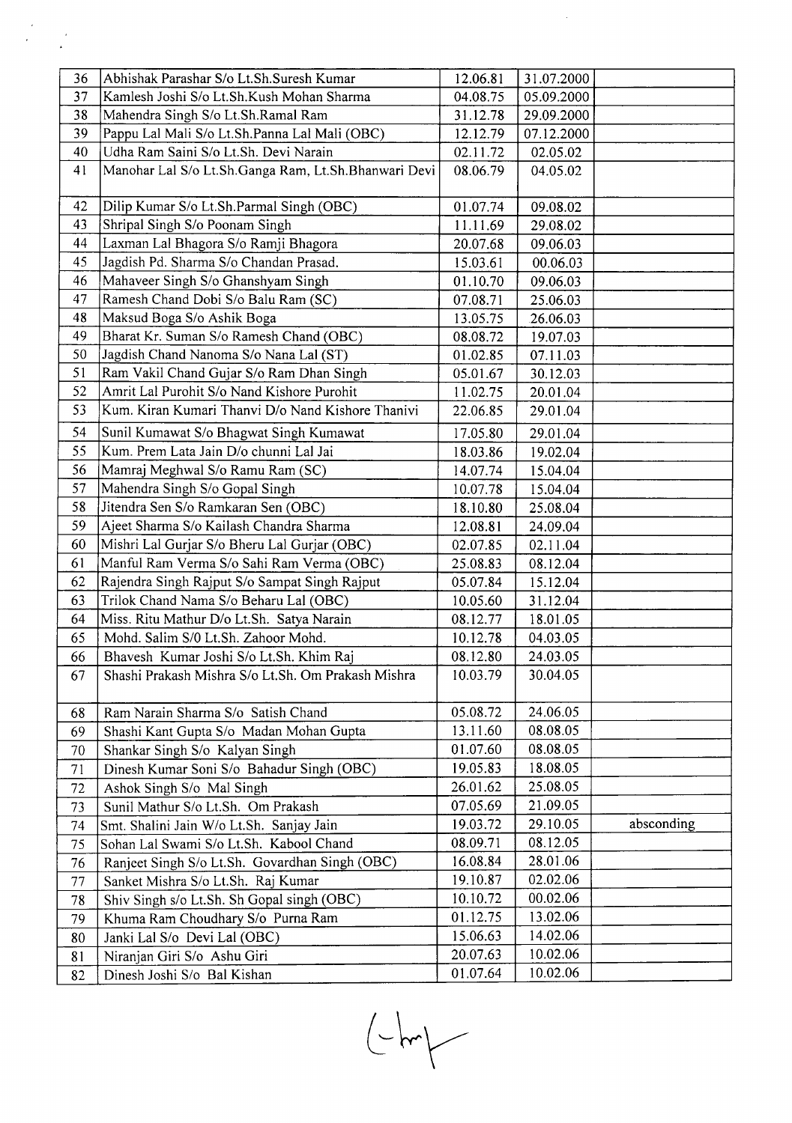| 36 | Abhishak Parashar S/o Lt.Sh.Suresh Kumar                                                  | 12.06.81 | 31.07.2000 |            |
|----|-------------------------------------------------------------------------------------------|----------|------------|------------|
| 37 | Kamlesh Joshi S/o Lt.Sh.Kush Mohan Sharma                                                 | 04.08.75 | 05.09.2000 |            |
| 38 | Mahendra Singh S/o Lt.Sh.Ramal Ram                                                        | 31.12.78 | 29.09.2000 |            |
| 39 | Pappu Lal Mali S/o Lt.Sh.Panna Lal Mali (OBC)                                             | 12.12.79 | 07.12.2000 |            |
| 40 | Udha Ram Saini S/o Lt.Sh. Devi Narain                                                     | 02.11.72 | 02.05.02   |            |
| 41 | Manohar Lal S/o Lt.Sh.Ganga Ram, Lt.Sh.Bhanwari Devi                                      | 08.06.79 | 04.05.02   |            |
| 42 | Dilip Kumar S/o Lt.Sh.Parmal Singh (OBC)                                                  | 01.07.74 | 09.08.02   |            |
| 43 | Shripal Singh S/o Poonam Singh                                                            | 11.11.69 | 29.08.02   |            |
| 44 | Laxman Lal Bhagora S/o Ramji Bhagora                                                      | 20.07.68 | 09.06.03   |            |
| 45 | Jagdish Pd. Sharma S/o Chandan Prasad.                                                    | 15.03.61 | 00.06.03   |            |
| 46 | Mahaveer Singh S/o Ghanshyam Singh                                                        | 01.10.70 | 09.06.03   |            |
| 47 | Ramesh Chand Dobi S/o Balu Ram (SC)                                                       | 07.08.71 | 25.06.03   |            |
| 48 | Maksud Boga S/o Ashik Boga                                                                | 13.05.75 | 26.06.03   |            |
| 49 | Bharat Kr. Suman S/o Ramesh Chand (OBC)                                                   | 08.08.72 | 19.07.03   |            |
| 50 | Jagdish Chand Nanoma S/o Nana Lal (ST)                                                    | 01.02.85 | 07.11.03   |            |
| 51 | Ram Vakil Chand Gujar S/o Ram Dhan Singh                                                  | 05.01.67 | 30.12.03   |            |
| 52 | Amrit Lal Purohit S/o Nand Kishore Purohit                                                | 11.02.75 | 20.01.04   |            |
| 53 | Kum. Kiran Kumari Thanvi D/o Nand Kishore Thanivi                                         | 22.06.85 | 29.01.04   |            |
| 54 | Sunil Kumawat S/o Bhagwat Singh Kumawat                                                   | 17.05.80 | 29.01.04   |            |
| 55 | Kum. Prem Lata Jain D/o chunni Lal Jai                                                    | 18.03.86 | 19.02.04   |            |
| 56 | Mamraj Meghwal S/o Ramu Ram (SC)                                                          | 14.07.74 | 15.04.04   |            |
| 57 | Mahendra Singh S/o Gopal Singh                                                            | 10.07.78 | 15.04.04   |            |
| 58 | Jitendra Sen S/o Ramkaran Sen (OBC)                                                       | 18.10.80 | 25.08.04   |            |
| 59 | Ajeet Sharma S/o Kailash Chandra Sharma                                                   | 12.08.81 | 24.09.04   |            |
| 60 | Mishri Lal Gurjar S/o Bheru Lal Gurjar (OBC)                                              | 02.07.85 | 02.11.04   |            |
| 61 | Manful Ram Verma S/o Sahi Ram Verma (OBC)                                                 | 25.08.83 | 08.12.04   |            |
| 62 | Rajendra Singh Rajput S/o Sampat Singh Rajput                                             | 05.07.84 | 15.12.04   |            |
| 63 | Trilok Chand Nama S/o Beharu Lal (OBC)                                                    | 10.05.60 | 31.12.04   |            |
| 64 | Miss. Ritu Mathur D/o Lt.Sh. Satya Narain                                                 | 08.12.77 | 18.01.05   |            |
| 65 | Mohd. Salim S/0 Lt.Sh. Zahoor Mohd.                                                       | 10.12.78 | 04.03.05   |            |
| 66 | Bhavesh Kumar Joshi S/o Lt.Sh. Khim Raj                                                   | 08.12.80 | 24.03.05   |            |
| 67 | Shashi Prakash Mishra S/o Lt.Sh. Om Prakash Mishra                                        | 10.03.79 | 30.04.05   |            |
| 68 | Ram Narain Sharma S/o Satish Chand                                                        | 05.08.72 | 24.06.05   |            |
| 69 | Shashi Kant Gupta S/o Madan Mohan Gupta                                                   | 13.11.60 | 08.08.05   |            |
| 70 | Shankar Singh S/o Kalyan Singh                                                            | 01.07.60 | 08.08.05   |            |
|    | Dinesh Kumar Soni S/o Bahadur Singh (OBC)                                                 | 19.05.83 | 18.08.05   |            |
| 71 |                                                                                           | 26.01.62 | 25.08.05   |            |
| 72 | Ashok Singh S/o Mal Singh<br>Sunil Mathur S/o Lt.Sh. Om Prakash                           | 07.05.69 | 21.09.05   |            |
| 73 | Smt. Shalini Jain W/o Lt.Sh. Sanjay Jain                                                  | 19.03.72 | 29.10.05   | absconding |
| 74 |                                                                                           | 08.09.71 | 08.12.05   |            |
| 75 | Sohan Lal Swami S/o Lt.Sh. Kabool Chand<br>Ranjeet Singh S/o Lt.Sh. Govardhan Singh (OBC) | 16.08.84 | 28.01.06   |            |
| 76 | Sanket Mishra S/o Lt.Sh. Raj Kumar                                                        | 19.10.87 | 02.02.06   |            |
| 77 |                                                                                           | 10.10.72 | 00.02.06   |            |
| 78 | Shiv Singh s/o Lt.Sh. Sh Gopal singh (OBC)                                                | 01.12.75 | 13.02.06   |            |
| 79 | Khuma Ram Choudhary S/o Purna Ram                                                         | 15.06.63 | 14.02.06   |            |
| 80 | Janki Lal S/o Devi Lal (OBC)                                                              | 20.07.63 | 10.02.06   |            |
| 81 | Niranjan Giri S/o Ashu Giri                                                               | 01.07.64 | 10.02.06   |            |
| 82 | Dinesh Joshi S/o Bal Kishan                                                               |          |            |            |

 $\frac{1}{2}$ 

 $\begin{picture}(120,10) \put(0,0){\line(1,0){10}} \put(15,0){\line(1,0){10}} \put(15,0){\line(1,0){10}} \put(15,0){\line(1,0){10}} \put(15,0){\line(1,0){10}} \put(15,0){\line(1,0){10}} \put(15,0){\line(1,0){10}} \put(15,0){\line(1,0){10}} \put(15,0){\line(1,0){10}} \put(15,0){\line(1,0){10}} \put(15,0){\line(1,0){10}} \put(15,0){\line($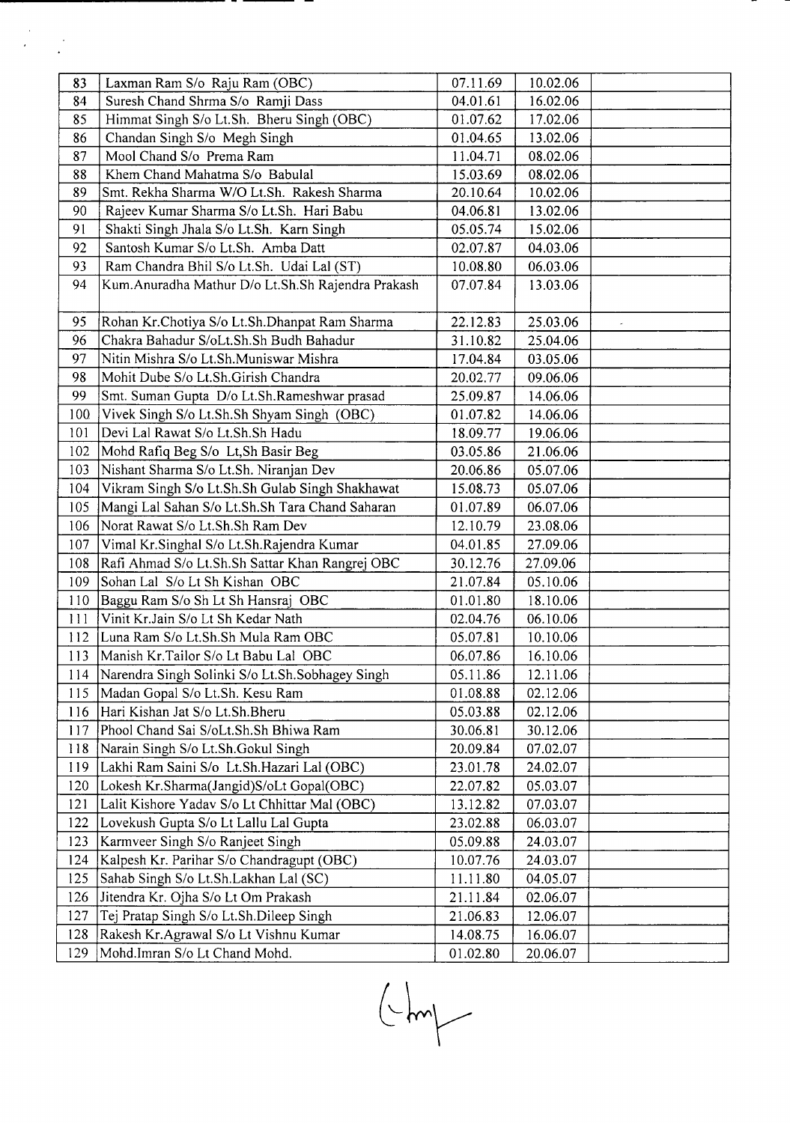| 83  | Laxman Ram S/o Raju Ram (OBC)                     | 07.11.69 | 10.02.06 |  |
|-----|---------------------------------------------------|----------|----------|--|
| 84  | Suresh Chand Shrma S/o Ramji Dass                 | 04.01.61 | 16.02.06 |  |
| 85  | Himmat Singh S/o Lt.Sh. Bheru Singh (OBC)         | 01.07.62 | 17.02.06 |  |
| 86  | Chandan Singh S/o Megh Singh                      | 01.04.65 | 13.02.06 |  |
| 87  | Mool Chand S/o Prema Ram                          | 11.04.71 | 08.02.06 |  |
| 88  | Khem Chand Mahatma S/o Babulal                    | 15.03.69 | 08.02.06 |  |
| 89  | Smt. Rekha Sharma W/O Lt.Sh. Rakesh Sharma        | 20.10.64 | 10.02.06 |  |
| 90  | Rajeev Kumar Sharma S/o Lt.Sh. Hari Babu          | 04.06.81 | 13.02.06 |  |
| 91  | Shakti Singh Jhala S/o Lt.Sh. Karn Singh          | 05.05.74 | 15.02.06 |  |
| 92  | Santosh Kumar S/o Lt.Sh. Amba Datt                | 02.07.87 | 04.03.06 |  |
| 93  | Ram Chandra Bhil S/o Lt.Sh. Udai Lal (ST)         | 10.08.80 | 06.03.06 |  |
| 94  | Kum.Anuradha Mathur D/o Lt.Sh.Sh Rajendra Prakash | 07.07.84 | 13.03.06 |  |
|     |                                                   |          |          |  |
| 95  | Rohan Kr.Chotiya S/o Lt.Sh.Dhanpat Ram Sharma     | 22.12.83 | 25.03.06 |  |
| 96  | Chakra Bahadur S/oLt.Sh.Sh Budh Bahadur           | 31.10.82 | 25.04.06 |  |
| 97  | Nitin Mishra S/o Lt.Sh.Muniswar Mishra            | 17.04.84 | 03.05.06 |  |
| 98  | Mohit Dube S/o Lt.Sh.Girish Chandra               | 20.02.77 | 09.06.06 |  |
| 99  | Smt. Suman Gupta D/o Lt.Sh.Rameshwar prasad       | 25.09.87 | 14.06.06 |  |
| 100 | Vivek Singh S/o Lt.Sh.Sh Shyam Singh (OBC)        | 01.07.82 | 14.06.06 |  |
| 101 | Devi Lal Rawat S/o Lt.Sh.Sh Hadu                  | 18.09.77 | 19.06.06 |  |
| 102 | Mohd Rafiq Beg S/o Lt, Sh Basir Beg               | 03.05.86 | 21.06.06 |  |
| 103 | Nishant Sharma S/o Lt.Sh. Niranjan Dev            | 20.06.86 | 05.07.06 |  |
| 104 | Vikram Singh S/o Lt.Sh.Sh Gulab Singh Shakhawat   | 15.08.73 | 05.07.06 |  |
| 105 | Mangi Lal Sahan S/o Lt.Sh.Sh Tara Chand Saharan   | 01.07.89 | 06.07.06 |  |
| 106 | Norat Rawat S/o Lt.Sh.Sh Ram Dev                  | 12.10.79 | 23.08.06 |  |
| 107 | Vimal Kr.Singhal S/o Lt.Sh.Rajendra Kumar         | 04.01.85 | 27.09.06 |  |
| 108 | Rafi Ahmad S/o Lt.Sh.Sh Sattar Khan Rangrej OBC   | 30.12.76 | 27.09.06 |  |
| 109 | Sohan Lal S/o Lt Sh Kishan OBC                    | 21.07.84 | 05.10.06 |  |
| 110 | Baggu Ram S/o Sh Lt Sh Hansraj OBC                | 01.01.80 | 18.10.06 |  |
| 111 | Vinit Kr.Jain S/o Lt Sh Kedar Nath                | 02.04.76 | 06.10.06 |  |
| 112 | Luna Ram S/o Lt.Sh.Sh Mula Ram OBC                | 05.07.81 | 10.10.06 |  |
| 113 | Manish Kr.Tailor S/o Lt Babu Lal OBC              | 06.07.86 | 16.10.06 |  |
| 114 | Narendra Singh Solinki S/o Lt.Sh.Sobhagey Singh   | 05.11.86 | 12.11.06 |  |
| 115 | Madan Gopal S/o Lt.Sh. Kesu Ram                   | 01.08.88 | 02.12.06 |  |
| 116 | Hari Kishan Jat S/o Lt.Sh.Bheru                   | 05.03.88 | 02.12.06 |  |
| 117 | Phool Chand Sai S/oLt.Sh.Sh Bhiwa Ram             | 30.06.81 | 30.12.06 |  |
| 118 | Narain Singh S/o Lt.Sh.Gokul Singh                | 20.09.84 | 07.02.07 |  |
| 119 | Lakhi Ram Saini S/o Lt.Sh.Hazari Lal (OBC)        | 23.01.78 | 24.02.07 |  |
| 120 | Lokesh Kr.Sharma(Jangid)S/oLt Gopal(OBC)          | 22.07.82 | 05.03.07 |  |
| 121 | Lalit Kishore Yadav S/o Lt Chhittar Mal (OBC)     | 13.12.82 | 07.03.07 |  |
| 122 | Lovekush Gupta S/o Lt Lallu Lal Gupta             | 23.02.88 | 06.03.07 |  |
| 123 | Karmveer Singh S/o Ranjeet Singh                  | 05.09.88 | 24.03.07 |  |
| 124 | Kalpesh Kr. Parihar S/o Chandragupt (OBC)         | 10.07.76 | 24.03.07 |  |
| 125 | Sahab Singh S/o Lt.Sh.Lakhan Lal (SC)             | 11.11.80 | 04.05.07 |  |
| 126 | Jitendra Kr. Ojha S/o Lt Om Prakash               | 21.11.84 | 02.06.07 |  |
| 127 | Tej Pratap Singh S/o Lt.Sh.Dileep Singh           | 21.06.83 | 12.06.07 |  |
| 128 | Rakesh Kr. Agrawal S/o Lt Vishnu Kumar            | 14.08.75 | 16.06.07 |  |
| 129 | Mohd.Imran S/o Lt Chand Mohd.                     | 01.02.80 | 20.06.07 |  |

 $\begin{picture}(220,20) \put(0,0){\line(1,0){10}} \put(15,0){\line(1,0){10}} \put(15,0){\line(1,0){10}} \put(15,0){\line(1,0){10}} \put(15,0){\line(1,0){10}} \put(15,0){\line(1,0){10}} \put(15,0){\line(1,0){10}} \put(15,0){\line(1,0){10}} \put(15,0){\line(1,0){10}} \put(15,0){\line(1,0){10}} \put(15,0){\line(1,0){10}} \put(15,0){\line($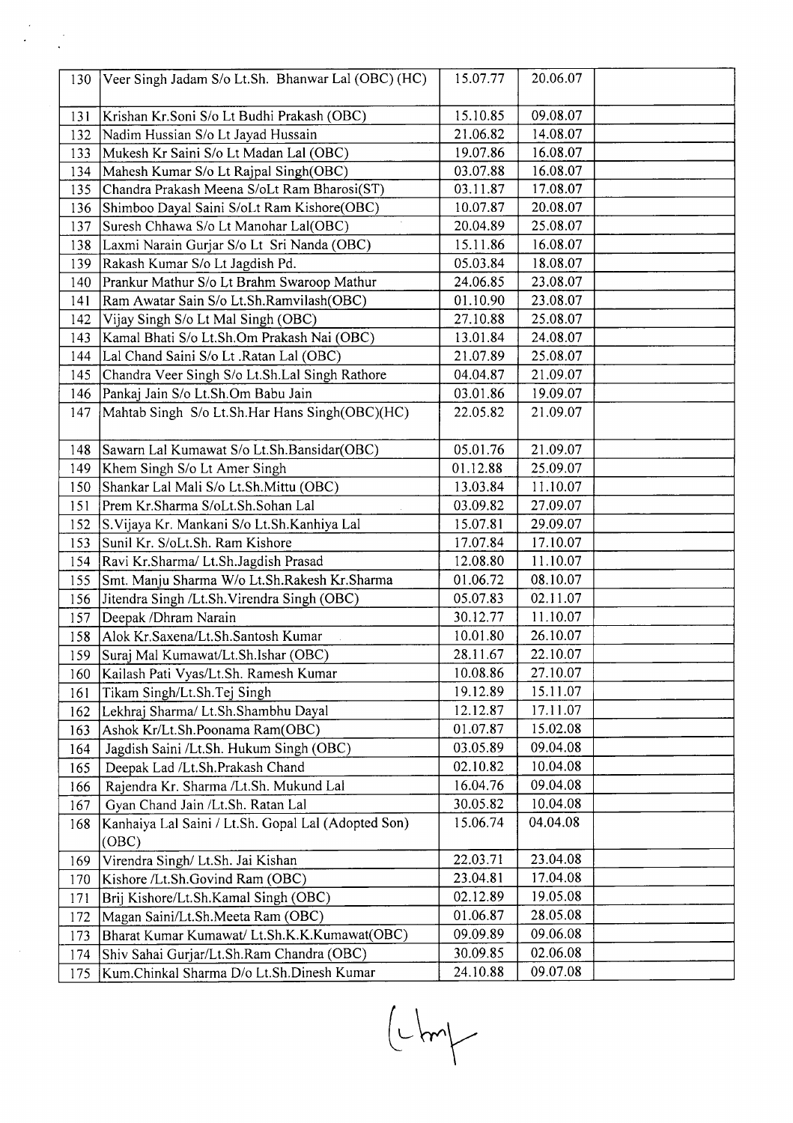| 130 | Veer Singh Jadam S/o Lt.Sh. Bhanwar Lal (OBC) (HC)  | 15.07.77 | 20.06.07 |  |
|-----|-----------------------------------------------------|----------|----------|--|
| 131 | Krishan Kr.Soni S/o Lt Budhi Prakash (OBC)          | 15.10.85 | 09.08.07 |  |
| 132 | Nadim Hussian S/o Lt Jayad Hussain                  | 21.06.82 | 14.08.07 |  |
| 133 | Mukesh Kr Saini S/o Lt Madan Lal (OBC)              | 19.07.86 | 16.08.07 |  |
| 134 | Mahesh Kumar S/o Lt Rajpal Singh(OBC)               | 03.07.88 | 16.08.07 |  |
| 135 | Chandra Prakash Meena S/oLt Ram Bharosi(ST)         | 03.11.87 | 17.08.07 |  |
| 136 | Shimboo Dayal Saini S/oLt Ram Kishore(OBC)          | 10.07.87 | 20.08.07 |  |
| 137 | Suresh Chhawa S/o Lt Manohar Lal(OBC)               | 20.04.89 | 25.08.07 |  |
| 138 | Laxmi Narain Gurjar S/o Lt Sri Nanda (OBC)          | 15.11.86 | 16.08.07 |  |
| 139 | Rakash Kumar S/o Lt Jagdish Pd.                     | 05.03.84 | 18.08.07 |  |
| 140 | Prankur Mathur S/o Lt Brahm Swaroop Mathur          | 24.06.85 | 23.08.07 |  |
| 141 | Ram Awatar Sain S/o Lt.Sh.Ramvilash(OBC)            | 01.10.90 | 23.08.07 |  |
| 142 | Vijay Singh S/o Lt Mal Singh (OBC)                  | 27.10.88 | 25.08.07 |  |
| 143 | Kamal Bhati S/o Lt.Sh.Om Prakash Nai (OBC)          | 13.01.84 | 24.08.07 |  |
| 144 | Lal Chand Saini S/o Lt .Ratan Lal (OBC)             | 21.07.89 | 25.08.07 |  |
| 145 | Chandra Veer Singh S/o Lt.Sh.Lal Singh Rathore      | 04.04.87 | 21.09.07 |  |
| 146 | Pankaj Jain S/o Lt.Sh.Om Babu Jain                  | 03.01.86 | 19.09.07 |  |
| 147 | Mahtab Singh S/o Lt.Sh.Har Hans Singh(OBC)(HC)      | 22.05.82 | 21.09.07 |  |
|     |                                                     |          |          |  |
| 148 | Sawarn Lal Kumawat S/o Lt.Sh.Bansidar(OBC)          | 05.01.76 | 21.09.07 |  |
| 149 | Khem Singh S/o Lt Amer Singh                        | 01.12.88 | 25.09.07 |  |
| 150 | Shankar Lal Mali S/o Lt.Sh.Mittu (OBC)              | 13.03.84 | 11.10.07 |  |
| 151 | Prem Kr.Sharma S/oLt.Sh.Sohan Lal                   | 03.09.82 | 27.09.07 |  |
| 152 | S. Vijaya Kr. Mankani S/o Lt. Sh. Kanhiya Lal       | 15.07.81 | 29.09.07 |  |
| 153 | Sunil Kr. S/oLt.Sh. Ram Kishore                     | 17.07.84 | 17.10.07 |  |
| 154 | Ravi Kr.Sharma/ Lt.Sh.Jagdish Prasad                | 12.08.80 | 11.10.07 |  |
| 155 | Smt. Manju Sharma W/o Lt.Sh.Rakesh Kr.Sharma        | 01.06.72 | 08.10.07 |  |
| 156 | Jitendra Singh /Lt.Sh. Virendra Singh (OBC)         | 05.07.83 | 02.11.07 |  |
| 157 | Deepak /Dhram Narain                                | 30.12.77 | 11.10.07 |  |
| 158 | Alok Kr.Saxena/Lt.Sh.Santosh Kumar                  | 10.01.80 | 26.10.07 |  |
| 159 | Suraj Mal Kumawat/Lt.Sh.Ishar (OBC)                 | 28.11.67 | 22.10.07 |  |
| 160 | Kailash Pati Vyas/Lt.Sh. Ramesh Kumar               | 10.08.86 | 27.10.07 |  |
| 161 | Tikam Singh/Lt.Sh.Tej Singh                         | 19.12.89 | 15.11.07 |  |
| 162 | Lekhraj Sharma/ Lt.Sh.Shambhu Dayal                 | 12.12.87 | 17.11.07 |  |
| 163 | Ashok Kr/Lt.Sh.Poonama Ram(OBC)                     | 01.07.87 | 15.02.08 |  |
| 164 | Jagdish Saini /Lt.Sh. Hukum Singh (OBC)             | 03.05.89 | 09.04.08 |  |
| 165 | Deepak Lad /Lt.Sh.Prakash Chand                     | 02.10.82 | 10.04.08 |  |
| 166 | Rajendra Kr. Sharma /Lt.Sh. Mukund Lal              | 16.04.76 | 09.04.08 |  |
| 167 | Gyan Chand Jain /Lt.Sh. Ratan Lal                   | 30.05.82 | 10.04.08 |  |
| 168 | Kanhaiya Lal Saini / Lt.Sh. Gopal Lal (Adopted Son) | 15.06.74 | 04.04.08 |  |
|     | (OBC)                                               |          |          |  |
| 169 | Virendra Singh/ Lt.Sh. Jai Kishan                   | 22.03.71 | 23.04.08 |  |
| 170 | Kishore /Lt.Sh.Govind Ram (OBC)                     | 23.04.81 | 17.04.08 |  |
| 171 | Brij Kishore/Lt.Sh.Kamal Singh (OBC)                | 02.12.89 | 19.05.08 |  |
| 172 | Magan Saini/Lt.Sh.Meeta Ram (OBC)                   | 01.06.87 | 28.05.08 |  |
| 173 | Bharat Kumar Kumawat/ Lt.Sh.K.K.Kumawat(OBC)        | 09.09.89 | 09.06.08 |  |
| 174 | Shiv Sahai Gurjar/Lt.Sh.Ram Chandra (OBC)           | 30.09.85 | 02.06.08 |  |
| 175 | Kum.Chinkal Sharma D/o Lt.Sh.Dinesh Kumar           | 24.10.88 | 09.07.08 |  |

 $\begin{picture}(220,20) \put(0,0){\line(1,0){10}} \put(15,0){\line(1,0){10}} \put(15,0){\line(1,0){10}} \put(15,0){\line(1,0){10}} \put(15,0){\line(1,0){10}} \put(15,0){\line(1,0){10}} \put(15,0){\line(1,0){10}} \put(15,0){\line(1,0){10}} \put(15,0){\line(1,0){10}} \put(15,0){\line(1,0){10}} \put(15,0){\line(1,0){10}} \put(15,0){\line($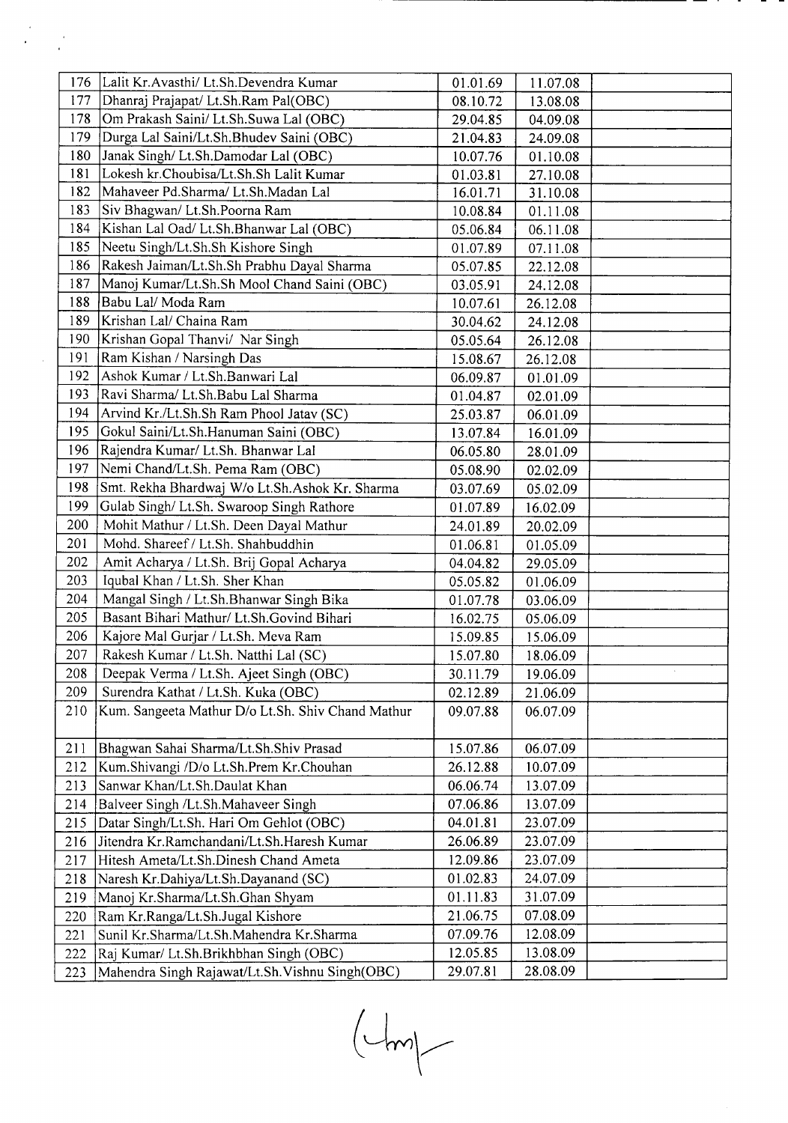|            | 176 Lalit Kr. Avasthi/ Lt. Sh. Devendra Kumar                                       | 01.01.69             | 11.07.08             |  |
|------------|-------------------------------------------------------------------------------------|----------------------|----------------------|--|
| 177        | Dhanraj Prajapat/ Lt.Sh.Ram Pal(OBC)                                                | 08.10.72             | 13.08.08             |  |
| 178        | Om Prakash Saini/ Lt.Sh.Suwa Lal (OBC)                                              | 29.04.85             | 04.09.08             |  |
| 179        | Durga Lal Saini/Lt.Sh.Bhudev Saini (OBC)                                            | 21.04.83             | 24.09.08             |  |
| 180        | Janak Singh/ Lt.Sh.Damodar Lal (OBC)                                                | 10.07.76             | 01.10.08             |  |
| 181        | Lokesh kr.Choubisa/Lt.Sh.Sh Lalit Kumar                                             | 01.03.81             | 27.10.08             |  |
| 182        | Mahaveer Pd.Sharma/ Lt.Sh.Madan Lal                                                 | 16.01.71             | 31.10.08             |  |
| 183        | Siv Bhagwan/ Lt.Sh.Poorna Ram                                                       | 10.08.84             | 01.11.08             |  |
| 184        | Kishan Lal Oad/ Lt.Sh.Bhanwar Lal (OBC)                                             | 05.06.84             | 06.11.08             |  |
| 185        | Neetu Singh/Lt.Sh.Sh Kishore Singh                                                  | 01.07.89             | 07.11.08             |  |
| 186        | Rakesh Jaiman/Lt.Sh.Sh Prabhu Dayal Sharma                                          | 05.07.85             | 22.12.08             |  |
| 187        | Manoj Kumar/Lt.Sh.Sh Mool Chand Saini (OBC)                                         | 03.05.91             | 24.12.08             |  |
| 188        | Babu Lal/ Moda Ram                                                                  | 10.07.61             | 26.12.08             |  |
| 189        | Krishan Lal/ Chaina Ram                                                             | 30.04.62             | 24.12.08             |  |
| 190        | Krishan Gopal Thanvi/ Nar Singh                                                     | 05.05.64             | 26.12.08             |  |
| 191        | Ram Kishan / Narsingh Das                                                           | 15.08.67             | 26.12.08             |  |
| 192        | Ashok Kumar / Lt.Sh.Banwari Lal                                                     | 06.09.87             | 01.01.09             |  |
| 193        | Ravi Sharma/ Lt.Sh.Babu Lal Sharma                                                  | 01.04.87             | 02.01.09             |  |
| 194        | Arvind Kr./Lt.Sh.Sh Ram Phool Jatav (SC)                                            | 25.03.87             | 06.01.09             |  |
| 195        | Gokul Saini/Lt.Sh.Hanuman Saini (OBC)                                               | 13.07.84             | 16.01.09             |  |
| 196        | Rajendra Kumar/ Lt.Sh. Bhanwar Lal                                                  | 06.05.80             | 28.01.09             |  |
| 197        | Nemi Chand/Lt.Sh. Pema Ram (OBC)                                                    | 05.08.90             | 02.02.09             |  |
| 198        | Smt. Rekha Bhardwaj W/o Lt.Sh.Ashok Kr. Sharma                                      | 03.07.69             | 05.02.09             |  |
| 199        | Gulab Singh/ Lt.Sh. Swaroop Singh Rathore                                           | 01.07.89             | 16.02.09             |  |
| 200        | Mohit Mathur / Lt.Sh. Deen Dayal Mathur                                             | 24.01.89             | 20.02.09             |  |
| 201        | Mohd. Shareef / Lt.Sh. Shahbuddhin                                                  | 01.06.81             | 01.05.09             |  |
| 202        | Amit Acharya / Lt.Sh. Brij Gopal Acharya                                            | 04.04.82             | 29.05.09             |  |
| 203        | Iqubal Khan / Lt.Sh. Sher Khan                                                      | 05.05.82             | 01.06.09             |  |
| 204        | Mangal Singh / Lt.Sh.Bhanwar Singh Bika                                             | 01.07.78             | 03.06.09             |  |
| 205        | Basant Bihari Mathur/ Lt.Sh.Govind Bihari                                           | 16.02.75             | 05.06.09             |  |
| 206        | Kajore Mal Gurjar / Lt.Sh. Meva Ram                                                 | 15.09.85             | 15.06.09             |  |
| 207        | Rakesh Kumar / Lt.Sh. Natthi Lal (SC)                                               | 15.07.80             | 18.06.09             |  |
| 208        | Deepak Verma / Lt.Sh. Ajeet Singh (OBC)                                             | 30.11.79             | 19.06.09             |  |
| 209        | Surendra Kathat / Lt.Sh. Kuka (OBC)                                                 | 02.12.89             | 21.06.09             |  |
| 210        | Kum. Sangeeta Mathur D/o Lt.Sh. Shiv Chand Mathur                                   | 09.07.88             | 06.07.09             |  |
|            |                                                                                     |                      |                      |  |
| 211        | Bhagwan Sahai Sharma/Lt.Sh.Shiv Prasad                                              | 15.07.86             | 06.07.09             |  |
| 212        | Kum.Shivangi /D/o Lt.Sh.Prem Kr.Chouhan                                             | 26.12.88             | 10.07.09             |  |
| 213        | Sanwar Khan/Lt.Sh.Daulat Khan                                                       | 06.06.74             | 13.07.09             |  |
| 214<br>215 | Balveer Singh /Lt.Sh.Mahaveer Singh                                                 | 07.06.86<br>04.01.81 | 13.07.09<br>23.07.09 |  |
|            | Datar Singh/Lt.Sh. Hari Om Gehlot (OBC)                                             |                      |                      |  |
| 216<br>217 | Jitendra Kr.Ramchandani/Lt.Sh.Haresh Kumar<br>Hitesh Ameta/Lt.Sh.Dinesh Chand Ameta | 26.06.89<br>12.09.86 | 23.07.09<br>23.07.09 |  |
| 218        |                                                                                     | 01.02.83             | 24.07.09             |  |
| 219        | Naresh Kr.Dahiya/Lt.Sh.Dayanand (SC)<br>Manoj Kr.Sharma/Lt.Sh.Ghan Shyam            | 01.11.83             | 31.07.09             |  |
| 220        | Ram Kr.Ranga/Lt.Sh.Jugal Kishore                                                    | 21.06.75             | 07.08.09             |  |
| 221        | Sunil Kr.Sharma/Lt.Sh.Mahendra Kr.Sharma                                            | 07.09.76             | 12.08.09             |  |
| 222        | Raj Kumar/ Lt.Sh.Brikhbhan Singh (OBC)                                              | 12.05.85             | 13.08.09             |  |
| 223        | Mahendra Singh Rajawat/Lt.Sh.Vishnu Singh(OBC)                                      | 29.07.81             | 28.08.09             |  |
|            |                                                                                     |                      |                      |  |

 $\mathcal{L}^{\mathcal{A}}$ 

 $(\Leftrightarrow m)$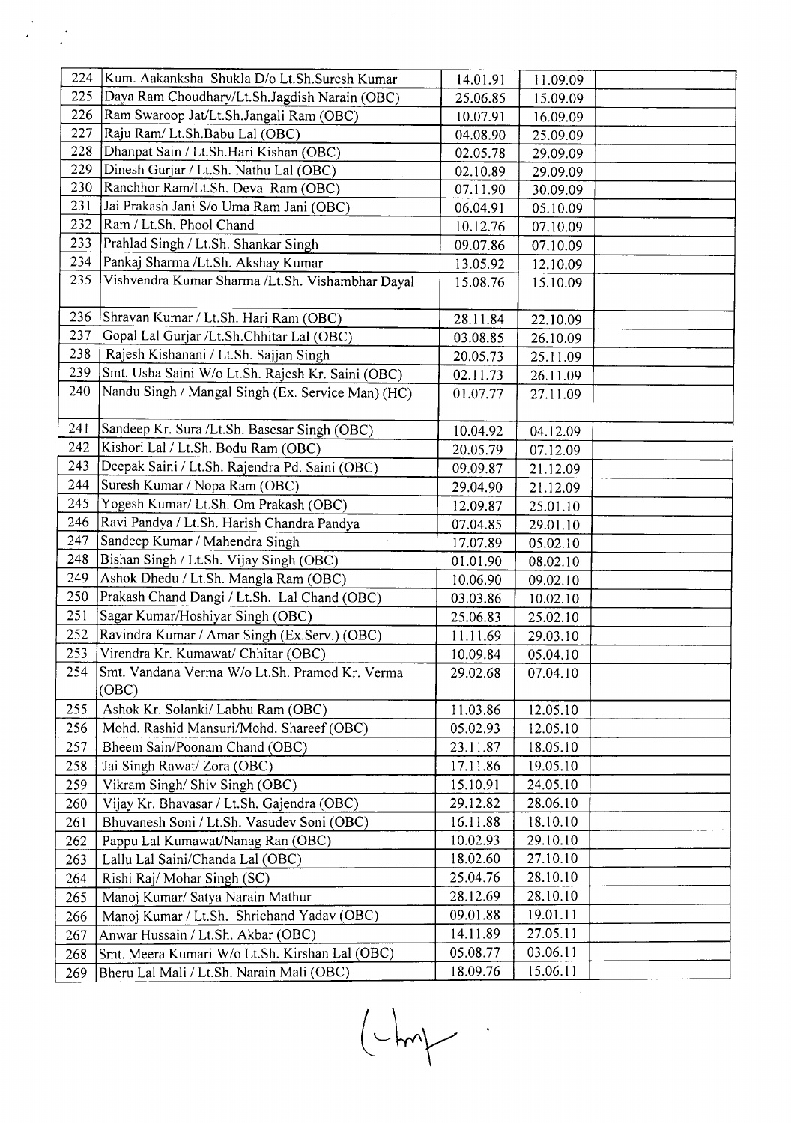| 224 | Kum. Aakanksha Shukla D/o Lt.Sh.Suresh Kumar            | 14.01.91 | 11.09.09 |  |
|-----|---------------------------------------------------------|----------|----------|--|
| 225 | Daya Ram Choudhary/Lt.Sh.Jagdish Narain (OBC)           | 25.06.85 | 15.09.09 |  |
| 226 | Ram Swaroop Jat/Lt.Sh.Jangali Ram (OBC)                 | 10.07.91 | 16.09.09 |  |
| 227 | Raju Ram/ Lt.Sh.Babu Lal (OBC)                          | 04.08.90 | 25.09.09 |  |
| 228 | Dhanpat Sain / Lt.Sh.Hari Kishan (OBC)                  | 02.05.78 | 29.09.09 |  |
| 229 | Dinesh Gurjar / Lt.Sh. Nathu Lal (OBC)                  | 02.10.89 | 29.09.09 |  |
| 230 | Ranchhor Ram/Lt.Sh. Deva Ram (OBC)                      | 07.11.90 | 30.09.09 |  |
| 231 | Jai Prakash Jani S/o Uma Ram Jani (OBC)                 | 06.04.91 | 05.10.09 |  |
| 232 | Ram / Lt.Sh. Phool Chand                                | 10.12.76 | 07.10.09 |  |
| 233 | Prahlad Singh / Lt.Sh. Shankar Singh                    | 09.07.86 | 07.10.09 |  |
| 234 | Pankaj Sharma /Lt.Sh. Akshay Kumar                      | 13.05.92 | 12.10.09 |  |
| 235 | Vishvendra Kumar Sharma /Lt.Sh. Vishambhar Dayal        | 15.08.76 | 15.10.09 |  |
| 236 | Shravan Kumar / Lt.Sh. Hari Ram (OBC)                   | 28.11.84 | 22.10.09 |  |
| 237 | Gopal Lal Gurjar /Lt.Sh.Chhitar Lal (OBC)               | 03.08.85 | 26.10.09 |  |
| 238 | Rajesh Kishanani / Lt.Sh. Sajjan Singh                  | 20.05.73 | 25.11.09 |  |
| 239 | Smt. Usha Saini W/o Lt.Sh. Rajesh Kr. Saini (OBC)       | 02.11.73 | 26.11.09 |  |
| 240 | Nandu Singh / Mangal Singh (Ex. Service Man) (HC)       | 01.07.77 | 27.11.09 |  |
| 241 | Sandeep Kr. Sura /Lt.Sh. Basesar Singh (OBC)            | 10.04.92 | 04.12.09 |  |
| 242 | Kishori Lal / Lt.Sh. Bodu Ram (OBC)                     | 20.05.79 | 07.12.09 |  |
| 243 | Deepak Saini / Lt.Sh. Rajendra Pd. Saini (OBC)          | 09.09.87 | 21.12.09 |  |
| 244 | Suresh Kumar / Nopa Ram (OBC)                           | 29.04.90 | 21.12.09 |  |
| 245 | Yogesh Kumar/ Lt.Sh. Om Prakash (OBC)                   | 12.09.87 | 25.01.10 |  |
| 246 | Ravi Pandya / Lt.Sh. Harish Chandra Pandya              | 07.04.85 | 29.01.10 |  |
| 247 | Sandeep Kumar / Mahendra Singh                          | 17.07.89 | 05.02.10 |  |
| 248 | Bishan Singh / Lt.Sh. Vijay Singh (OBC)                 | 01.01.90 | 08.02.10 |  |
| 249 | Ashok Dhedu / Lt.Sh. Mangla Ram (OBC)                   | 10.06.90 | 09.02.10 |  |
| 250 | Prakash Chand Dangi / Lt.Sh. Lal Chand (OBC)            | 03.03.86 | 10.02.10 |  |
| 251 | Sagar Kumar/Hoshiyar Singh (OBC)                        | 25.06.83 | 25.02.10 |  |
| 252 | Ravindra Kumar / Amar Singh (Ex.Serv.) (OBC)            | 11.11.69 | 29.03.10 |  |
| 253 | Virendra Kr. Kumawat/ Chhitar (OBC)                     | 10.09.84 | 05.04.10 |  |
| 254 | Smt. Vandana Verma W/o Lt.Sh. Pramod Kr. Verma<br>(OBC) | 29.02.68 | 07.04.10 |  |
| 255 | Ashok Kr. Solanki/ Labhu Ram (OBC)                      | 11.03.86 | 12.05.10 |  |
| 256 | Mohd. Rashid Mansuri/Mohd. Shareef (OBC)                | 05.02.93 | 12.05.10 |  |
| 257 | Bheem Sain/Poonam Chand (OBC)                           | 23.11.87 | 18.05.10 |  |
| 258 | Jai Singh Rawat/ Zora (OBC)                             | 17.11.86 | 19.05.10 |  |
| 259 | Vikram Singh/ Shiv Singh (OBC)                          | 15.10.91 | 24.05.10 |  |
| 260 | Vijay Kr. Bhavasar / Lt.Sh. Gajendra (OBC)              | 29.12.82 | 28.06.10 |  |
| 261 | Bhuvanesh Soni / Lt.Sh. Vasudev Soni (OBC)              | 16.11.88 | 18.10.10 |  |
| 262 | Pappu Lal Kumawat/Nanag Ran (OBC)                       | 10.02.93 | 29.10.10 |  |
| 263 | Lallu Lal Saini/Chanda Lal (OBC)                        | 18.02.60 | 27.10.10 |  |
| 264 | Rishi Raj/ Mohar Singh (SC)                             | 25.04.76 | 28.10.10 |  |
| 265 | Manoj Kumar/ Satya Narain Mathur                        | 28.12.69 | 28.10.10 |  |
| 266 | Manoj Kumar / Lt.Sh. Shrichand Yadav (OBC)              | 09.01.88 | 19.01.11 |  |
| 267 | Anwar Hussain / Lt.Sh. Akbar (OBC)                      | 14.11.89 | 27.05.11 |  |
| 268 | Smt. Meera Kumari W/o Lt.Sh. Kirshan Lal (OBC)          | 05.08.77 | 03.06.11 |  |
| 269 | Bheru Lal Mali / Lt.Sh. Narain Mali (OBC)               | 18.09.76 | 15.06.11 |  |

 $\begin{tabular}{|c|c|c|} \hline \quad \quad & \quad \quad & \quad \quad & \quad \quad \\ \hline \hline \quad \quad & \quad \quad & \quad \quad & \quad \quad \\ \hline \quad \quad & \quad \quad & \quad \quad & \quad \quad \\ \hline \quad \quad & \quad \quad & \quad \quad & \quad \quad \\ \hline \quad \quad & \quad \quad & \quad \quad & \quad \quad \\ \hline \end{tabular}$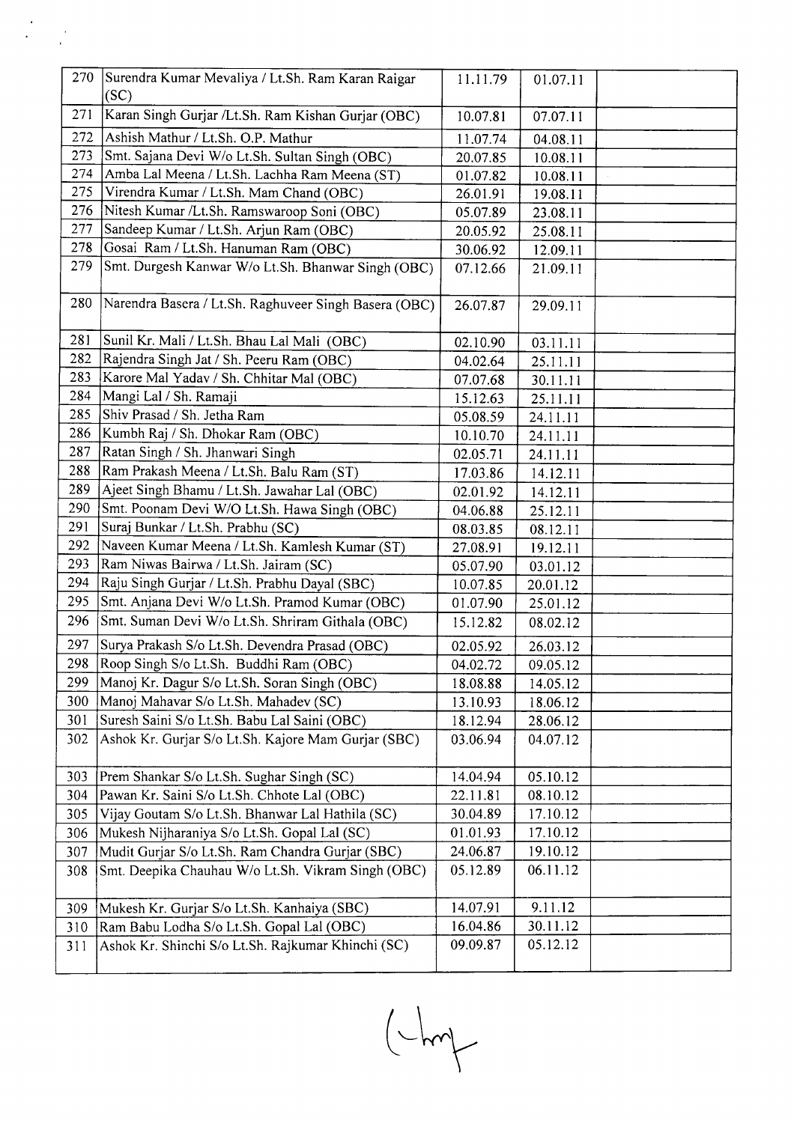| 270 | Surendra Kumar Mevaliya / Lt.Sh. Ram Karan Raigar<br>(SC) | 11.11.79 | 01.07.11 |  |
|-----|-----------------------------------------------------------|----------|----------|--|
| 271 | Karan Singh Gurjar /Lt.Sh. Ram Kishan Gurjar (OBC)        | 10.07.81 | 07.07.11 |  |
| 272 | Ashish Mathur / Lt.Sh. O.P. Mathur                        | 11.07.74 | 04.08.11 |  |
| 273 | Smt. Sajana Devi W/o Lt.Sh. Sultan Singh (OBC)            | 20.07.85 | 10.08.11 |  |
| 274 | Amba Lal Meena / Lt.Sh. Lachha Ram Meena (ST)             | 01.07.82 | 10.08.11 |  |
| 275 | Virendra Kumar / Lt.Sh. Mam Chand (OBC)                   | 26.01.91 | 19.08.11 |  |
| 276 | Nitesh Kumar /Lt.Sh. Ramswaroop Soni (OBC)                | 05.07.89 | 23.08.11 |  |
| 277 | Sandeep Kumar / Lt.Sh. Arjun Ram (OBC)                    | 20.05.92 | 25.08.11 |  |
| 278 | Gosai Ram / Lt.Sh. Hanuman Ram (OBC)                      | 30.06.92 | 12.09.11 |  |
| 279 | Smt. Durgesh Kanwar W/o Lt.Sh. Bhanwar Singh (OBC)        | 07.12.66 | 21.09.11 |  |
| 280 | Narendra Basera / Lt.Sh. Raghuveer Singh Basera (OBC)     | 26.07.87 | 29.09.11 |  |
| 281 | Sunil Kr. Mali / Lt.Sh. Bhau Lal Mali (OBC)               | 02.10.90 | 03.11.11 |  |
| 282 | Rajendra Singh Jat / Sh. Peeru Ram (OBC)                  | 04.02.64 | 25.11.11 |  |
| 283 | Karore Mal Yadav / Sh. Chhitar Mal (OBC)                  | 07.07.68 | 30.11.11 |  |
| 284 | Mangi Lal / Sh. Ramaji                                    | 15.12.63 | 25.11.11 |  |
| 285 | Shiv Prasad / Sh. Jetha Ram                               | 05.08.59 | 24.11.11 |  |
| 286 | Kumbh Raj / Sh. Dhokar Ram (OBC)                          | 10.10.70 | 24.11.11 |  |
| 287 | Ratan Singh / Sh. Jhanwari Singh                          | 02.05.71 | 24.11.11 |  |
| 288 | Ram Prakash Meena / Lt.Sh. Balu Ram (ST)                  | 17.03.86 | 14.12.11 |  |
| 289 | Ajeet Singh Bhamu / Lt.Sh. Jawahar Lal (OBC)              | 02.01.92 | 14.12.11 |  |
| 290 | Smt. Poonam Devi W/O Lt.Sh. Hawa Singh (OBC)              | 04.06.88 | 25.12.11 |  |
| 291 | Suraj Bunkar / Lt.Sh. Prabhu (SC)                         | 08.03.85 | 08.12.11 |  |
| 292 | Naveen Kumar Meena / Lt.Sh. Kamlesh Kumar (ST)            | 27.08.91 | 19.12.11 |  |
| 293 | Ram Niwas Bairwa / Lt.Sh. Jairam (SC)                     | 05.07.90 | 03.01.12 |  |
| 294 | Raju Singh Gurjar / Lt.Sh. Prabhu Dayal (SBC)             | 10.07.85 | 20.01.12 |  |
| 295 | Smt. Anjana Devi W/o Lt.Sh. Pramod Kumar (OBC)            | 01.07.90 | 25.01.12 |  |
| 296 | Smt. Suman Devi W/o Lt.Sh. Shriram Githala (OBC)          | 15.12.82 | 08.02.12 |  |
| 297 | Surya Prakash S/o Lt.Sh. Devendra Prasad (OBC)            | 02.05.92 | 26.03.12 |  |
| 298 | Roop Singh S/o Lt.Sh. Buddhi Ram (OBC)                    | 04.02.72 | 09.05.12 |  |
| 299 | Manoj Kr. Dagur S/o Lt.Sh. Soran Singh (OBC)              | 18.08.88 | 14.05.12 |  |
| 300 | Manoj Mahavar S/o Lt.Sh. Mahadev (SC)                     | 13.10.93 | 18.06.12 |  |
| 301 | Suresh Saini S/o Lt.Sh. Babu Lal Saini (OBC)              | 18.12.94 | 28.06.12 |  |
| 302 | Ashok Kr. Gurjar S/o Lt.Sh. Kajore Mam Gurjar (SBC)       | 03.06.94 | 04.07.12 |  |
| 303 | Prem Shankar S/o Lt.Sh. Sughar Singh (SC)                 | 14.04.94 | 05.10.12 |  |
| 304 | Pawan Kr. Saini S/o Lt.Sh. Chhote Lal (OBC)               | 22.11.81 | 08.10.12 |  |
| 305 | Vijay Goutam S/o Lt.Sh. Bhanwar Lal Hathila (SC)          | 30.04.89 | 17.10.12 |  |
| 306 | Mukesh Nijharaniya S/o Lt.Sh. Gopal Lal (SC)              | 01.01.93 | 17.10.12 |  |
| 307 | Mudit Gurjar S/o Lt.Sh. Ram Chandra Gurjar (SBC)          | 24.06.87 | 19.10.12 |  |
| 308 | Smt. Deepika Chauhau W/o Lt.Sh. Vikram Singh (OBC)        | 05.12.89 | 06.11.12 |  |
| 309 | Mukesh Kr. Gurjar S/o Lt.Sh. Kanhaiya (SBC)               | 14.07.91 | 9.11.12  |  |
| 310 | Ram Babu Lodha S/o Lt.Sh. Gopal Lal (OBC)                 | 16.04.86 | 30.11.12 |  |
| 311 | Ashok Kr. Shinchi S/o Lt.Sh. Rajkumar Khinchi (SC)        | 09.09.87 | 05.12.12 |  |

 $(-\mu)$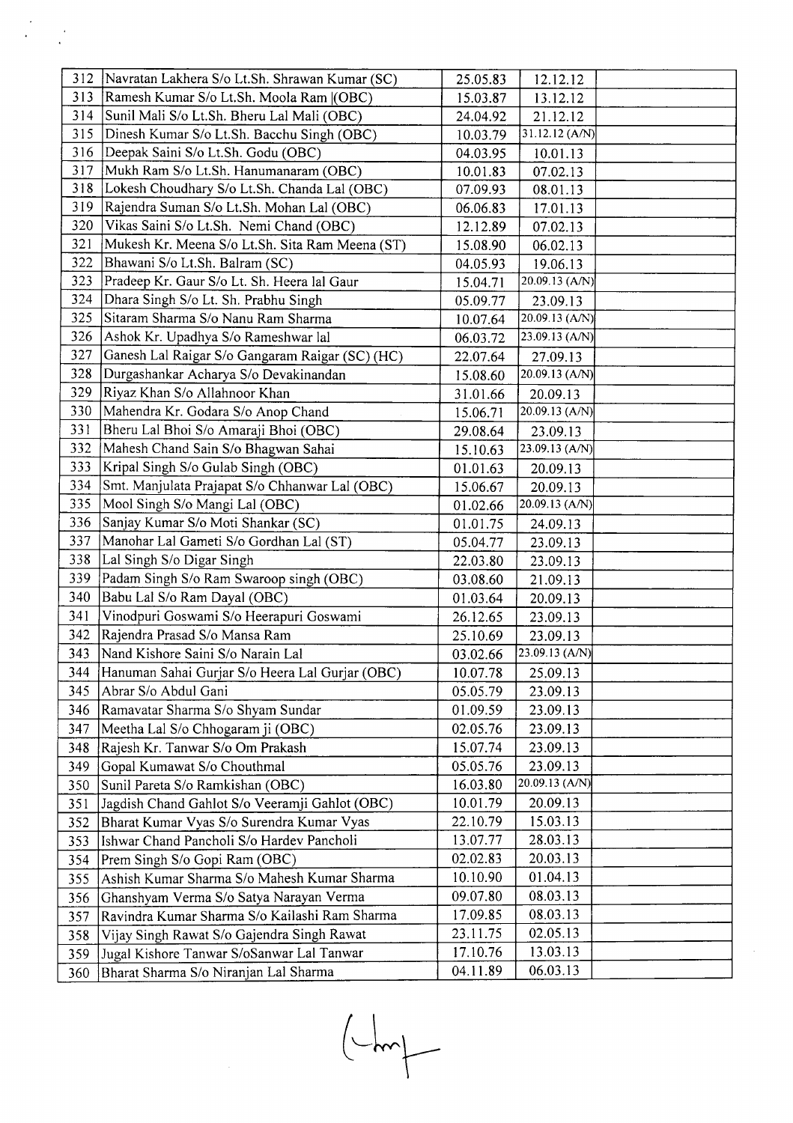|     | 312 Navratan Lakhera S/o Lt.Sh. Shrawan Kumar (SC) | 25.05.83 | 12.12.12         |
|-----|----------------------------------------------------|----------|------------------|
|     | 313   Ramesh Kumar S/o Lt.Sh. Moola Ram   (OBC)    | 15.03.87 | 13.12.12         |
| 314 | Sunil Mali S/o Lt.Sh. Bheru Lal Mali (OBC)         | 24.04.92 | 21.12.12         |
| 315 | Dinesh Kumar S/o Lt.Sh. Bacchu Singh (OBC)         | 10.03.79 | 31.12.12 (A/N)   |
| 316 | Deepak Saini S/o Lt.Sh. Godu (OBC)                 | 04.03.95 | 10.01.13         |
| 317 | Mukh Ram S/o Lt.Sh. Hanumanaram (OBC)              | 10.01.83 | 07.02.13         |
| 318 | Lokesh Choudhary S/o Lt.Sh. Chanda Lal (OBC)       | 07.09.93 | 08.01.13         |
| 319 | Rajendra Suman S/o Lt.Sh. Mohan Lal (OBC)          | 06.06.83 | 17.01.13         |
| 320 | Vikas Saini S/o Lt.Sh. Nemi Chand (OBC)            | 12.12.89 | 07.02.13         |
| 321 | Mukesh Kr. Meena S/o Lt.Sh. Sita Ram Meena (ST)    | 15.08.90 | 06.02.13         |
| 322 | Bhawani S/o Lt.Sh. Balram (SC)                     | 04.05.93 | 19.06.13         |
| 323 | Pradeep Kr. Gaur S/o Lt. Sh. Heera lal Gaur        | 15.04.71 | 20.09.13 (A/N)   |
| 324 | Dhara Singh S/o Lt. Sh. Prabhu Singh               | 05.09.77 | 23.09.13         |
| 325 | Sitaram Sharma S/o Nanu Ram Sharma                 | 10.07.64 | 20.09.13 (A/N)   |
| 326 | Ashok Kr. Upadhya S/o Rameshwar lal                | 06.03.72 | 23.09.13 $(A/N)$ |
| 327 | Ganesh Lal Raigar S/o Gangaram Raigar (SC) (HC)    | 22.07.64 | 27.09.13         |
| 328 | Durgashankar Acharya S/o Devakinandan              | 15.08.60 | 20.09.13 $(A/N)$ |
| 329 | Riyaz Khan S/o Allahnoor Khan                      | 31.01.66 | 20.09.13         |
| 330 | Mahendra Kr. Godara S/o Anop Chand                 | 15.06.71 | 20.09.13 (A/N)   |
| 331 | Bheru Lal Bhoi S/o Amaraji Bhoi (OBC)              | 29.08.64 | 23.09.13         |
| 332 | Mahesh Chand Sain S/o Bhagwan Sahai                | 15.10.63 | 23.09.13 (A/N)   |
| 333 | Kripal Singh S/o Gulab Singh (OBC)                 | 01.01.63 | 20.09.13         |
| 334 | Smt. Manjulata Prajapat S/o Chhanwar Lal (OBC)     | 15.06.67 | 20.09.13         |
| 335 | Mool Singh S/o Mangi Lal (OBC)                     | 01.02.66 | $20.09.13$ (A/N) |
| 336 | Sanjay Kumar S/o Moti Shankar (SC)                 | 01.01.75 | 24.09.13         |
| 337 | Manohar Lal Gameti S/o Gordhan Lal (ST)            | 05.04.77 | 23.09.13         |
| 338 | Lal Singh S/o Digar Singh                          | 22.03.80 | 23.09.13         |
| 339 | Padam Singh S/o Ram Swaroop singh (OBC)            | 03.08.60 | 21.09.13         |
| 340 | Babu Lal S/o Ram Dayal (OBC)                       | 01.03.64 | 20.09.13         |
| 341 | Vinodpuri Goswami S/o Heerapuri Goswami            | 26.12.65 | 23.09.13         |
| 342 | Rajendra Prasad S/o Mansa Ram                      | 25.10.69 | 23.09.13         |
| 343 | Nand Kishore Saini S/o Narain Lal                  | 03.02.66 | 23.09.13 (A/N)   |
| 344 | Hanuman Sahai Gurjar S/o Heera Lal Gurjar (OBC)    | 10.07.78 | 25.09.13         |
| 345 | Abrar S/o Abdul Gani                               | 05.05.79 | 23.09.13         |
| 346 | Ramavatar Sharma S/o Shyam Sundar                  | 01.09.59 | 23.09.13         |
| 347 | Meetha Lal S/o Chhogaram ji (OBC)                  | 02.05.76 | 23.09.13         |
| 348 | Rajesh Kr. Tanwar S/o Om Prakash                   | 15.07.74 | 23.09.13         |
| 349 | Gopal Kumawat S/o Chouthmal                        | 05.05.76 | 23.09.13         |
| 350 | Sunil Pareta S/o Ramkishan (OBC)                   | 16.03.80 | 20.09.13 (A/N)   |
| 351 | Jagdish Chand Gahlot S/o Veeramji Gahlot (OBC)     | 10.01.79 | 20.09.13         |
| 352 | Bharat Kumar Vyas S/o Surendra Kumar Vyas          | 22.10.79 | 15.03.13         |
| 353 | Ishwar Chand Pancholi S/o Hardev Pancholi          | 13.07.77 | 28.03.13         |
| 354 | Prem Singh S/o Gopi Ram (OBC)                      | 02.02.83 | 20.03.13         |
| 355 | Ashish Kumar Sharma S/o Mahesh Kumar Sharma        | 10.10.90 | 01.04.13         |
| 356 | Ghanshyam Verma S/o Satya Narayan Verma            | 09.07.80 | 08.03.13         |
| 357 | Ravindra Kumar Sharma S/o Kailashi Ram Sharma      | 17.09.85 | 08.03.13         |
| 358 | Vijay Singh Rawat S/o Gajendra Singh Rawat         | 23.11.75 | 02.05.13         |
| 359 | Jugal Kishore Tanwar S/oSanwar Lal Tanwar          | 17.10.76 | 13.03.13         |
| 360 | Bharat Sharma S/o Niranjan Lal Sharma              | 04.11.89 | 06.03.13         |

 $\frac{d}{dt} \left( \frac{d}{dt} \right) = \frac{1}{2} \left( \frac{d}{dt} \right)$ 

 $\begin{picture}(120,10) \put(0,0){\line(1,0){10}} \put(15,0){\line(1,0){10}} \put(15,0){\line(1,0){10}} \put(15,0){\line(1,0){10}} \put(15,0){\line(1,0){10}} \put(15,0){\line(1,0){10}} \put(15,0){\line(1,0){10}} \put(15,0){\line(1,0){10}} \put(15,0){\line(1,0){10}} \put(15,0){\line(1,0){10}} \put(15,0){\line(1,0){10}} \put(15,0){\line($ 

 $\mathcal{A}^{\mathcal{A}}$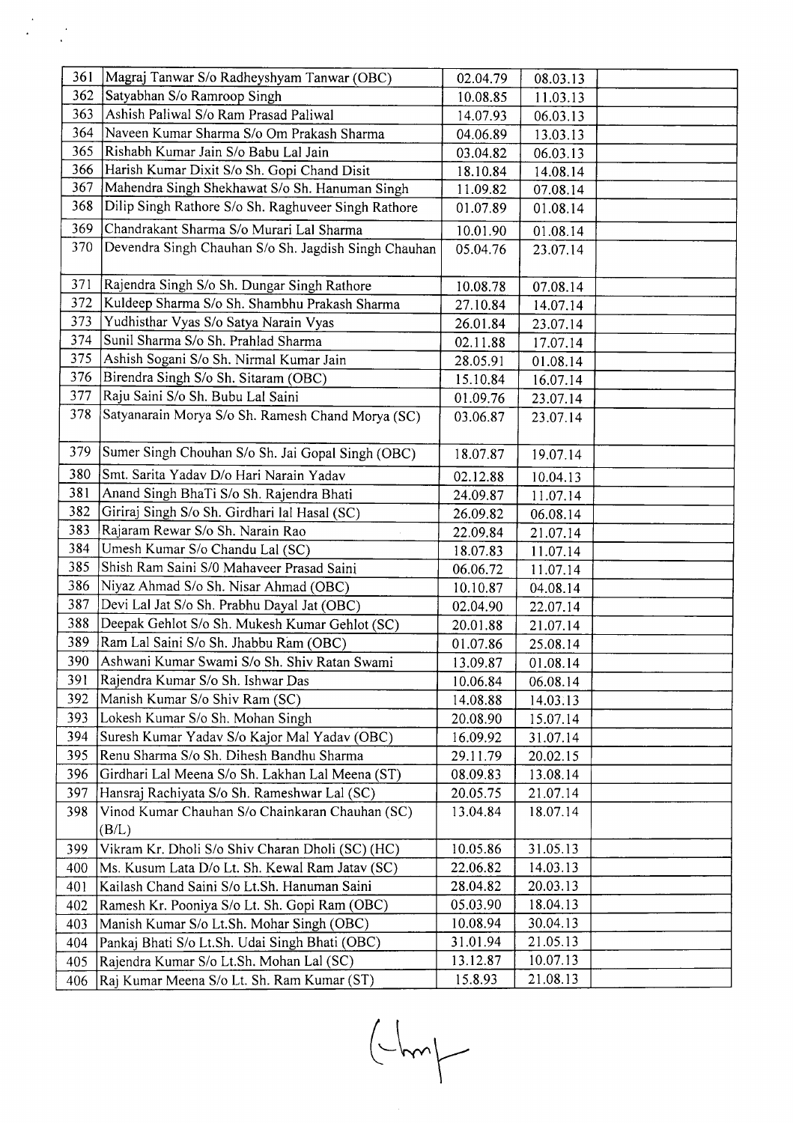| 361 | Magraj Tanwar S/o Radheyshyam Tanwar (OBC)           | 02.04.79 | 08.03.13 |  |
|-----|------------------------------------------------------|----------|----------|--|
| 362 | Satyabhan S/o Ramroop Singh                          | 10.08.85 | 11.03.13 |  |
| 363 | Ashish Paliwal S/o Ram Prasad Paliwal                | 14.07.93 | 06.03.13 |  |
| 364 | Naveen Kumar Sharma S/o Om Prakash Sharma            | 04.06.89 | 13.03.13 |  |
| 365 | Rishabh Kumar Jain S/o Babu Lal Jain                 | 03.04.82 | 06.03.13 |  |
| 366 | Harish Kumar Dixit S/o Sh. Gopi Chand Disit          | 18.10.84 | 14.08.14 |  |
| 367 | Mahendra Singh Shekhawat S/o Sh. Hanuman Singh       | 11.09.82 | 07.08.14 |  |
| 368 | Dilip Singh Rathore S/o Sh. Raghuveer Singh Rathore  | 01.07.89 | 01.08.14 |  |
| 369 | Chandrakant Sharma S/o Murari Lal Sharma             | 10.01.90 | 01.08.14 |  |
| 370 | Devendra Singh Chauhan S/o Sh. Jagdish Singh Chauhan | 05.04.76 | 23.07.14 |  |
|     |                                                      |          |          |  |
| 371 | Rajendra Singh S/o Sh. Dungar Singh Rathore          | 10.08.78 | 07.08.14 |  |
| 372 | Kuldeep Sharma S/o Sh. Shambhu Prakash Sharma        | 27.10.84 | 14.07.14 |  |
| 373 | Yudhisthar Vyas S/o Satya Narain Vyas                | 26.01.84 | 23.07.14 |  |
| 374 | Sunil Sharma S/o Sh. Prahlad Sharma                  | 02.11.88 | 17.07.14 |  |
| 375 | Ashish Sogani S/o Sh. Nirmal Kumar Jain              | 28.05.91 | 01.08.14 |  |
| 376 | Birendra Singh S/o Sh. Sitaram (OBC)                 | 15.10.84 | 16.07.14 |  |
| 377 | Raju Saini S/o Sh. Bubu Lal Saini                    | 01.09.76 | 23.07.14 |  |
| 378 | Satyanarain Morya S/o Sh. Ramesh Chand Morya (SC)    | 03.06.87 | 23.07.14 |  |
|     |                                                      |          |          |  |
| 379 | Sumer Singh Chouhan S/o Sh. Jai Gopal Singh (OBC)    | 18.07.87 | 19.07.14 |  |
| 380 | Smt. Sarita Yadav D/o Hari Narain Yadav              | 02.12.88 | 10.04.13 |  |
| 381 | Anand Singh BhaTi S/o Sh. Rajendra Bhati             | 24.09.87 | 11.07.14 |  |
| 382 | Giriraj Singh S/o Sh. Girdhari lal Hasal (SC)        | 26.09.82 | 06.08.14 |  |
| 383 | Rajaram Rewar S/o Sh. Narain Rao                     | 22.09.84 | 21.07.14 |  |
| 384 | Umesh Kumar S/o Chandu Lal (SC)                      | 18.07.83 | 11.07.14 |  |
| 385 | Shish Ram Saini S/0 Mahaveer Prasad Saini            | 06.06.72 | 11.07.14 |  |
| 386 | Niyaz Ahmad S/o Sh. Nisar Ahmad (OBC)                | 10.10.87 | 04.08.14 |  |
| 387 | Devi Lal Jat S/o Sh. Prabhu Dayal Jat (OBC)          | 02.04.90 | 22.07.14 |  |
| 388 | Deepak Gehlot S/o Sh. Mukesh Kumar Gehlot (SC)       | 20.01.88 | 21.07.14 |  |
| 389 | Ram Lal Saini S/o Sh. Jhabbu Ram (OBC)               | 01.07.86 | 25.08.14 |  |
| 390 | Ashwani Kumar Swami S/o Sh. Shiv Ratan Swami         | 13.09.87 | 01.08.14 |  |
| 391 | Rajendra Kumar S/o Sh. Ishwar Das                    | 10.06.84 | 06.08.14 |  |
| 392 | Manish Kumar S/o Shiv Ram (SC)                       | 14.08.88 | 14.03.13 |  |
| 393 | Lokesh Kumar S/o Sh. Mohan Singh                     | 20.08.90 | 15.07.14 |  |
| 394 | Suresh Kumar Yadav S/o Kajor Mal Yadav (OBC)         | 16.09.92 | 31.07.14 |  |
| 395 | Renu Sharma S/o Sh. Dihesh Bandhu Sharma             | 29.11.79 | 20.02.15 |  |
| 396 | Girdhari Lal Meena S/o Sh. Lakhan Lal Meena (ST)     | 08.09.83 | 13.08.14 |  |
| 397 | Hansraj Rachiyata S/o Sh. Rameshwar Lal (SC)         | 20.05.75 | 21.07.14 |  |
| 398 | Vinod Kumar Chauhan S/o Chainkaran Chauhan (SC)      | 13.04.84 | 18.07.14 |  |
|     | (B/L)                                                |          |          |  |
| 399 | Vikram Kr. Dholi S/o Shiv Charan Dholi (SC) (HC)     | 10.05.86 | 31.05.13 |  |
| 400 | Ms. Kusum Lata D/o Lt. Sh. Kewal Ram Jatav (SC)      | 22.06.82 | 14.03.13 |  |
| 401 | Kailash Chand Saini S/o Lt.Sh. Hanuman Saini         | 28.04.82 | 20.03.13 |  |
| 402 | Ramesh Kr. Pooniya S/o Lt. Sh. Gopi Ram (OBC)        | 05.03.90 | 18.04.13 |  |
| 403 | Manish Kumar S/o Lt.Sh. Mohar Singh (OBC)            | 10.08.94 | 30.04.13 |  |
| 404 | Pankaj Bhati S/o Lt.Sh. Udai Singh Bhati (OBC)       | 31.01.94 | 21.05.13 |  |
| 405 | Rajendra Kumar S/o Lt.Sh. Mohan Lal (SC)             | 13.12.87 | 10.07.13 |  |
| 406 | Raj Kumar Meena S/o Lt. Sh. Ram Kumar (ST)           | 15.8.93  | 21.08.13 |  |

 $\begin{picture}(120,10) \put(0,0){\line(1,0){10}} \put(15,0){\line(1,0){10}} \put(15,0){\line(1,0){10}} \put(15,0){\line(1,0){10}} \put(15,0){\line(1,0){10}} \put(15,0){\line(1,0){10}} \put(15,0){\line(1,0){10}} \put(15,0){\line(1,0){10}} \put(15,0){\line(1,0){10}} \put(15,0){\line(1,0){10}} \put(15,0){\line(1,0){10}} \put(15,0){\line($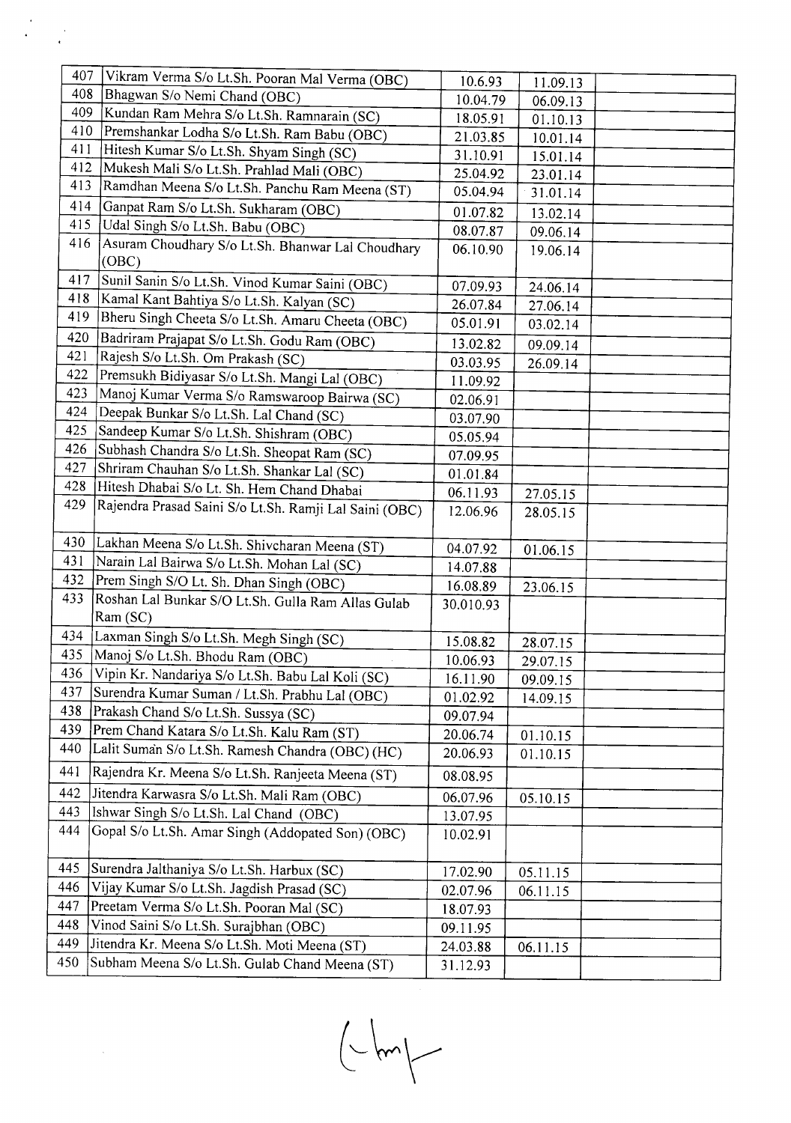| 407 |                                                                                |           |          |  |
|-----|--------------------------------------------------------------------------------|-----------|----------|--|
| 408 | Vikram Verma S/o Lt.Sh. Pooran Mal Verma (OBC)<br>Bhagwan S/o Nemi Chand (OBC) | 10.6.93   | 11.09.13 |  |
| 409 |                                                                                | 10.04.79  | 06.09.13 |  |
| 410 | Kundan Ram Mehra S/o Lt.Sh. Ramnarain (SC)                                     | 18.05.91  | 01.10.13 |  |
| 411 | Premshankar Lodha S/o Lt.Sh. Ram Babu (OBC)                                    | 21.03.85  | 10.01.14 |  |
| 412 | Hitesh Kumar S/o Lt.Sh. Shyam Singh (SC)                                       | 31.10.91  | 15.01.14 |  |
| 413 | Mukesh Mali S/o Lt.Sh. Prahlad Mali (OBC)                                      | 25.04.92  | 23.01.14 |  |
|     | Ramdhan Meena S/o Lt.Sh. Panchu Ram Meena (ST)                                 | 05.04.94  | 31.01.14 |  |
| 414 | Ganpat Ram S/o Lt.Sh. Sukharam (OBC)                                           | 01.07.82  | 13.02.14 |  |
| 415 | Udal Singh S/o Lt.Sh. Babu (OBC)                                               | 08.07.87  | 09.06.14 |  |
| 416 | Asuram Choudhary S/o Lt.Sh. Bhanwar Lal Choudhary                              | 06.10.90  | 19.06.14 |  |
|     | (OBC)                                                                          |           |          |  |
| 417 | Sunil Sanin S/o Lt.Sh. Vinod Kumar Saini (OBC)                                 | 07.09.93  | 24.06.14 |  |
| 418 | Kamal Kant Bahtiya S/o Lt.Sh. Kalyan (SC)                                      | 26.07.84  | 27.06.14 |  |
| 419 | Bheru Singh Cheeta S/o Lt.Sh. Amaru Cheeta (OBC)                               | 05.01.91  | 03.02.14 |  |
| 420 | Badriram Prajapat S/o Lt.Sh. Godu Ram (OBC)                                    | 13.02.82  | 09.09.14 |  |
| 421 | Rajesh S/o Lt.Sh. Om Prakash (SC)                                              | 03.03.95  | 26.09.14 |  |
| 422 | Premsukh Bidiyasar S/o Lt.Sh. Mangi Lal (OBC)                                  | 11.09.92  |          |  |
| 423 | Manoj Kumar Verma S/o Ramswaroop Bairwa (SC)                                   | 02.06.91  |          |  |
| 424 | Deepak Bunkar S/o Lt.Sh. Lal Chand (SC)                                        | 03.07.90  |          |  |
| 425 | Sandeep Kumar S/o Lt.Sh. Shishram (OBC)                                        | 05.05.94  |          |  |
| 426 | Subhash Chandra S/o Lt.Sh. Sheopat Ram (SC)                                    | 07.09.95  |          |  |
| 427 | Shriram Chauhan S/o Lt.Sh. Shankar Lal (SC)                                    | 01.01.84  |          |  |
| 428 | Hitesh Dhabai S/o Lt. Sh. Hem Chand Dhabai                                     | 06.11.93  |          |  |
| 429 | Rajendra Prasad Saini S/o Lt.Sh. Ramji Lal Saini (OBC)                         |           | 27.05.15 |  |
|     |                                                                                | 12.06.96  | 28.05.15 |  |
| 430 | Lakhan Meena S/o Lt.Sh. Shivcharan Meena (ST)                                  | 04.07.92  |          |  |
| 431 | Narain Lal Bairwa S/o Lt.Sh. Mohan Lal (SC)                                    | 14.07.88  | 01.06.15 |  |
| 432 | Prem Singh S/O Lt. Sh. Dhan Singh (OBC)                                        | 16.08.89  |          |  |
| 433 | Roshan Lal Bunkar S/O Lt.Sh. Gulla Ram Allas Gulab                             | 30.010.93 | 23.06.15 |  |
|     | Ram (SC)                                                                       |           |          |  |
| 434 | Laxman Singh S/o Lt.Sh. Megh Singh (SC)                                        |           |          |  |
| 435 | Manoj S/o Lt.Sh. Bhodu Ram (OBC)                                               | 15.08.82  | 28.07.15 |  |
| 436 | Vipin Kr. Nandariya S/o Lt.Sh. Babu Lal Koli (SC)                              | 10.06.93  | 29.07.15 |  |
| 437 | Surendra Kumar Suman / Lt.Sh. Prabhu Lal (OBC)                                 | 16.11.90  | 09.09.15 |  |
| 438 | Prakash Chand S/o Lt.Sh. Sussya (SC)                                           | 01.02.92  | 14.09.15 |  |
| 439 | Prem Chand Katara S/o Lt.Sh. Kalu Ram (ST)                                     | 09.07.94  |          |  |
| 440 | Lalit Suman S/o Lt.Sh. Ramesh Chandra (OBC) (HC)                               | 20.06.74  | 01.10.15 |  |
|     |                                                                                | 20.06.93  | 01.10.15 |  |
| 441 | Rajendra Kr. Meena S/o Lt.Sh. Ranjeeta Meena (ST)                              | 08.08.95  |          |  |
| 442 | Jitendra Karwasra S/o Lt.Sh. Mali Ram (OBC)                                    | 06.07.96  | 05.10.15 |  |
| 443 | Ishwar Singh S/o Lt.Sh. Lal Chand (OBC)                                        | 13.07.95  |          |  |
| 444 | Gopal S/o Lt.Sh. Amar Singh (Addopated Son) (OBC)                              | 10.02.91  |          |  |
|     |                                                                                |           |          |  |
| 445 | Surendra Jalthaniya S/o Lt.Sh. Harbux (SC)                                     | 17.02.90  | 05.11.15 |  |
| 446 | Vijay Kumar S/o Lt.Sh. Jagdish Prasad (SC)                                     | 02.07.96  | 06.11.15 |  |
| 447 | Preetam Verma S/o Lt.Sh. Pooran Mal (SC)                                       | 18.07.93  |          |  |
| 448 | Vinod Saini S/o Lt.Sh. Surajbhan (OBC)                                         | 09.11.95  |          |  |
| 449 | Jitendra Kr. Meena S/o Lt.Sh. Moti Meena (ST)                                  | 24.03.88  | 06.11.15 |  |
| 450 | Subham Meena S/o Lt.Sh. Gulab Chand Meena (ST)                                 | 31.12.93  |          |  |
|     |                                                                                |           |          |  |

 $\label{eq:2} \frac{1}{2} \sum_{i=1}^n \frac{1}{2} \sum_{j=1}^n \frac{1}{2} \sum_{j=1}^n \frac{1}{2} \sum_{j=1}^n \frac{1}{2} \sum_{j=1}^n \frac{1}{2} \sum_{j=1}^n \frac{1}{2} \sum_{j=1}^n \frac{1}{2} \sum_{j=1}^n \frac{1}{2} \sum_{j=1}^n \frac{1}{2} \sum_{j=1}^n \frac{1}{2} \sum_{j=1}^n \frac{1}{2} \sum_{j=1}^n \frac{1}{2} \sum_{j=1}^n \frac{1}{$ 

 $\hat{\boldsymbol{\theta}}$ 

 $\begin{picture}(220,20) \put(0,0){\line(1,0){10}} \put(15,0){\line(1,0){10}} \put(15,0){\line(1,0){10}} \put(15,0){\line(1,0){10}} \put(15,0){\line(1,0){10}} \put(15,0){\line(1,0){10}} \put(15,0){\line(1,0){10}} \put(15,0){\line(1,0){10}} \put(15,0){\line(1,0){10}} \put(15,0){\line(1,0){10}} \put(15,0){\line(1,0){10}} \put(15,0){\line($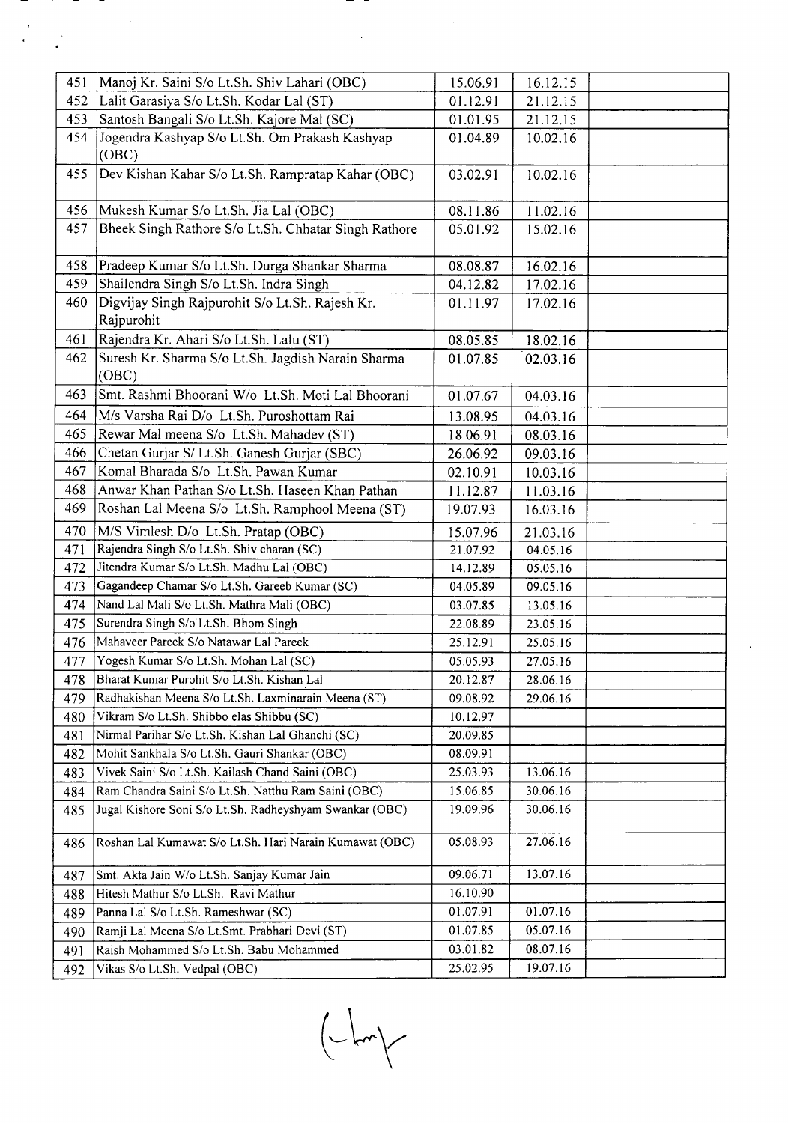|            |                                                                                          | 15.06.91 |                      |  |
|------------|------------------------------------------------------------------------------------------|----------|----------------------|--|
| 451<br>452 | Manoj Kr. Saini S/o Lt.Sh. Shiv Lahari (OBC)<br>Lalit Garasiya S/o Lt.Sh. Kodar Lal (ST) | 01.12.91 | 16.12.15<br>21.12.15 |  |
| 453        | Santosh Bangali S/o Lt.Sh. Kajore Mal (SC)                                               | 01.01.95 | 21.12.15             |  |
| 454        | Jogendra Kashyap S/o Lt.Sh. Om Prakash Kashyap                                           |          |                      |  |
|            | (OBC)                                                                                    | 01.04.89 | 10.02.16             |  |
| 455        | Dev Kishan Kahar S/o Lt.Sh. Rampratap Kahar (OBC)                                        | 03.02.91 | 10.02.16             |  |
| 456        | Mukesh Kumar S/o Lt.Sh. Jia Lal (OBC)                                                    | 08.11.86 | 11.02.16             |  |
| 457        | Bheek Singh Rathore S/o Lt.Sh. Chhatar Singh Rathore                                     | 05.01.92 | 15.02.16             |  |
| 458        | Pradeep Kumar S/o Lt.Sh. Durga Shankar Sharma                                            | 08.08.87 | 16.02.16             |  |
| 459        | Shailendra Singh S/o Lt.Sh. Indra Singh                                                  | 04.12.82 | 17.02.16             |  |
| 460        | Digvijay Singh Rajpurohit S/o Lt.Sh. Rajesh Kr.<br>Rajpurohit                            | 01.11.97 | 17.02.16             |  |
| 461        | Rajendra Kr. Ahari S/o Lt.Sh. Lalu (ST)                                                  | 08.05.85 | 18.02.16             |  |
| 462        | Suresh Kr. Sharma S/o Lt.Sh. Jagdish Narain Sharma                                       | 01.07.85 | 02.03.16             |  |
|            | (OBC)                                                                                    |          |                      |  |
| 463        | Smt. Rashmi Bhoorani W/o Lt.Sh. Moti Lal Bhoorani                                        | 01.07.67 | 04.03.16             |  |
| 464        | M/s Varsha Rai D/o Lt.Sh. Puroshottam Rai                                                | 13.08.95 | 04.03.16             |  |
| 465        | Rewar Mal meena S/o Lt.Sh. Mahadev (ST)                                                  | 18.06.91 | 08.03.16             |  |
| 466        | Chetan Gurjar S/ Lt.Sh. Ganesh Gurjar (SBC)                                              | 26.06.92 | 09.03.16             |  |
| 467        | Komal Bharada S/o Lt.Sh. Pawan Kumar                                                     | 02.10.91 | 10.03.16             |  |
| 468        | Anwar Khan Pathan S/o Lt.Sh. Haseen Khan Pathan                                          | 11.12.87 | 11.03.16             |  |
| 469        | Roshan Lal Meena S/o Lt.Sh. Ramphool Meena (ST)                                          | 19.07.93 | 16.03.16             |  |
| 470        | M/S Vimlesh D/o Lt.Sh. Pratap (OBC)                                                      | 15.07.96 | 21.03.16             |  |
| 471        | Rajendra Singh S/o Lt.Sh. Shiv charan (SC)                                               | 21.07.92 | 04.05.16             |  |
| 472        | Jitendra Kumar S/o Lt.Sh. Madhu Lal (OBC)                                                | 14.12.89 | 05.05.16             |  |
| 473        | Gagandeep Chamar S/o Lt.Sh. Gareeb Kumar (SC)                                            | 04.05.89 | 09.05.16             |  |
| 474        | Nand Lal Mali S/o Lt.Sh. Mathra Mali (OBC)                                               | 03.07.85 | 13.05.16             |  |
| 475        | Surendra Singh S/o Lt.Sh. Bhom Singh                                                     | 22.08.89 | 23.05.16             |  |
| 476        | Mahaveer Pareek S/o Natawar Lal Pareek                                                   | 25.12.91 | 25.05.16             |  |
|            | Yogesh Kumar S/o Lt.Sh. Mohan Lal (SC)                                                   |          |                      |  |
| 477        |                                                                                          | 05.05.93 | 27.05.16             |  |
| 478        | Bharat Kumar Purohit S/o Lt.Sh. Kishan Lal                                               | 20.12.87 | 28.06.16             |  |
| 479        | Radhakishan Meena S/o Lt.Sh. Laxminarain Meena (ST)                                      | 09.08.92 | 29.06.16             |  |
| 480        | Vikram S/o Lt.Sh. Shibbo elas Shibbu (SC)                                                | 10.12.97 |                      |  |
| 481        | Nirmal Parihar S/o Lt.Sh. Kishan Lal Ghanchi (SC)                                        | 20.09.85 |                      |  |
| 482        | Mohit Sankhala S/o Lt.Sh. Gauri Shankar (OBC)                                            | 08.09.91 |                      |  |
| 483        | Vivek Saini S/o Lt.Sh. Kailash Chand Saini (OBC)                                         | 25.03.93 | 13.06.16             |  |
| 484        | Ram Chandra Saini S/o Lt.Sh. Natthu Ram Saini (OBC)                                      | 15.06.85 | 30.06.16             |  |
| 485        | Jugal Kishore Soni S/o Lt.Sh. Radheyshyam Swankar (OBC)                                  | 19.09.96 | 30.06.16             |  |
| 486        | Roshan Lal Kumawat S/o Lt.Sh. Hari Narain Kumawat (OBC)                                  | 05.08.93 | 27.06.16             |  |
| 487        | Smt. Akta Jain W/o Lt.Sh. Sanjay Kumar Jain                                              | 09.06.71 | 13.07.16             |  |
| 488        | Hitesh Mathur S/o Lt.Sh. Ravi Mathur                                                     | 16.10.90 |                      |  |
| 489        | Panna Lal S/o Lt.Sh. Rameshwar (SC)                                                      | 01.07.91 | 01.07.16             |  |
| 490        | Ramji Lal Meena S/o Lt.Smt. Prabhari Devi (ST)                                           | 01.07.85 | 05.07.16             |  |
| 491        | Raish Mohammed S/o Lt.Sh. Babu Mohammed                                                  | 03.01.82 | 08.07.16             |  |
| 492        | Vikas S/o Lt.Sh. Vedpal (OBC)                                                            | 25.02.95 | 19.07.16             |  |

 $\Delta \sim 1$ 

Francesco<br>1990 - Paul III<br>1990 - Paul III

 $\label{eq:2} \frac{d}{dt} \left( \frac{d}{dt} \right) = \frac{1}{2} \left( \frac{d}{dt} \right)$ 

 $\left\langle \bigcup_{i=1}^{n} \mathbb{Z}^{n} \right\rangle_{\mathcal{C}}$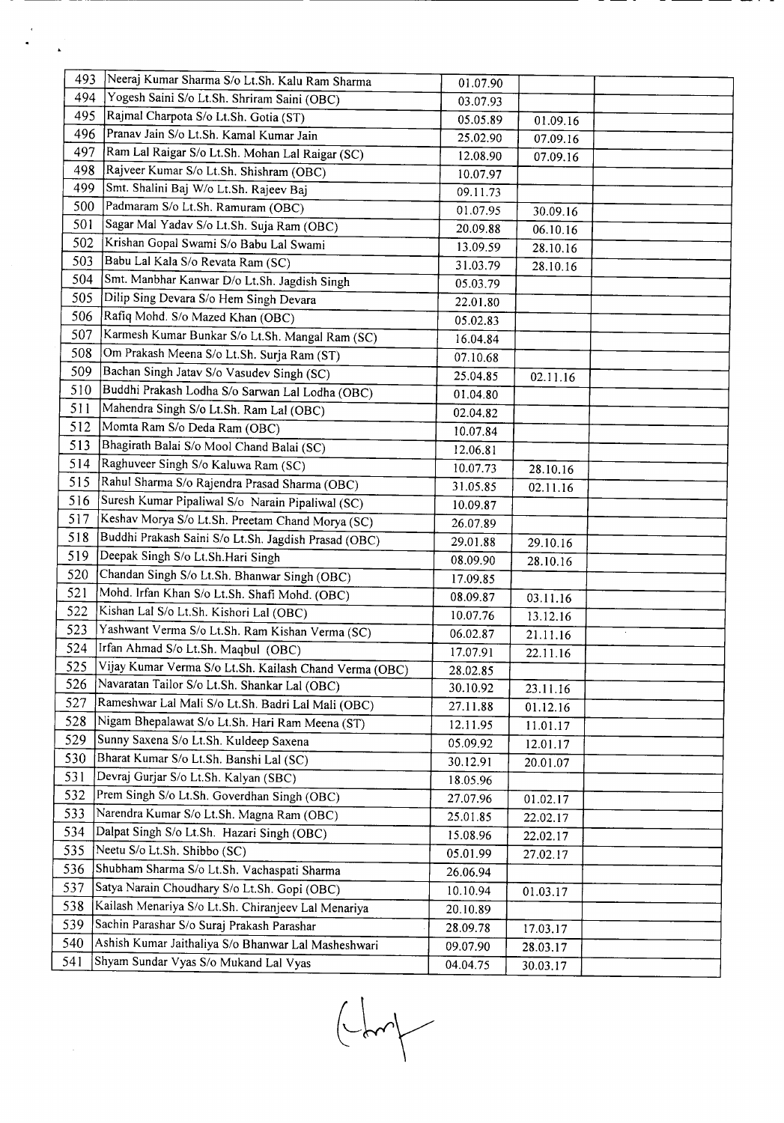| 493 | Neeraj Kumar Sharma S/o Lt.Sh. Kalu Ram Sharma         |          |          |  |
|-----|--------------------------------------------------------|----------|----------|--|
| 494 | Yogesh Saini S/o Lt.Sh. Shriram Saini (OBC)            | 01.07.90 |          |  |
| 495 | Rajmal Charpota S/o Lt.Sh. Gotia (ST)                  | 03.07.93 |          |  |
| 496 | Pranav Jain S/o Lt.Sh. Kamal Kumar Jain                | 05.05.89 | 01.09.16 |  |
| 497 | Ram Lal Raigar S/o Lt.Sh. Mohan Lal Raigar (SC)        | 25.02.90 | 07.09.16 |  |
| 498 | Rajveer Kumar S/o Lt.Sh. Shishram (OBC)                | 12.08.90 | 07.09.16 |  |
| 499 | Smt. Shalini Baj W/o Lt.Sh. Rajeev Baj                 | 10.07.97 |          |  |
| 500 | Padmaram S/o Lt.Sh. Ramuram (OBC)                      | 09.11.73 |          |  |
| 501 | Sagar Mal Yadav S/o Lt.Sh. Suja Ram (OBC)              | 01.07.95 | 30.09.16 |  |
| 502 | Krishan Gopal Swami S/o Babu Lal Swami                 | 20.09.88 | 06.10.16 |  |
| 503 | Babu Lal Kala S/o Revata Ram (SC)                      | 13.09.59 | 28.10.16 |  |
| 504 |                                                        | 31.03.79 | 28.10.16 |  |
|     | Smt. Manbhar Kanwar D/o Lt.Sh. Jagdish Singh           | 05.03.79 |          |  |
| 505 | Dilip Sing Devara S/o Hem Singh Devara                 | 22.01.80 |          |  |
| 506 | Rafiq Mohd. S/o Mazed Khan (OBC)                       | 05.02.83 |          |  |
| 507 | Karmesh Kumar Bunkar S/o Lt.Sh. Mangal Ram (SC)        | 16.04.84 |          |  |
| 508 | Om Prakash Meena S/o Lt.Sh. Surja Ram (ST)             | 07.10.68 |          |  |
| 509 | Bachan Singh Jatav S/o Vasudev Singh (SC)              | 25.04.85 | 02.11.16 |  |
| 510 | Buddhi Prakash Lodha S/o Sarwan Lal Lodha (OBC)        | 01.04.80 |          |  |
| 511 | Mahendra Singh S/o Lt.Sh. Ram Lal (OBC)                | 02.04.82 |          |  |
| 512 | Momta Ram S/o Deda Ram (OBC)                           | 10.07.84 |          |  |
| 513 | Bhagirath Balai S/o Mool Chand Balai (SC)              | 12.06.81 |          |  |
| 514 | Raghuveer Singh S/o Kaluwa Ram (SC)                    | 10.07.73 | 28.10.16 |  |
| 515 | Rahul Sharma S/o Rajendra Prasad Sharma (OBC)          | 31.05.85 | 02.11.16 |  |
| 516 | Suresh Kumar Pipaliwal S/o Narain Pipaliwal (SC)       | 10.09.87 |          |  |
| 517 | Keshav Morya S/o Lt.Sh. Preetam Chand Morya (SC)       | 26.07.89 |          |  |
| 518 | Buddhi Prakash Saini S/o Lt.Sh. Jagdish Prasad (OBC)   | 29.01.88 | 29.10.16 |  |
| 519 | Deepak Singh S/o Lt.Sh.Hari Singh                      | 08.09.90 | 28.10.16 |  |
| 520 | Chandan Singh S/o Lt.Sh. Bhanwar Singh (OBC)           | 17.09.85 |          |  |
| 521 | Mohd. Irfan Khan S/o Lt.Sh. Shafi Mohd. (OBC)          | 08.09.87 | 03.11.16 |  |
| 522 | Kishan Lal S/o Lt.Sh. Kishori Lal (OBC)                | 10.07.76 | 13.12.16 |  |
| 523 | Yashwant Verma S/o Lt.Sh. Ram Kishan Verma (SC)        | 06.02.87 | 21.11.16 |  |
| 524 | Irfan Ahmad S/o Lt.Sh. Maqbul (OBC)                    | 17.07.91 | 22.11.16 |  |
| 525 | Vijay Kumar Verma S/o Lt.Sh. Kailash Chand Verma (OBC) | 28.02.85 |          |  |
| 526 | Navaratan Tailor S/o Lt.Sh. Shankar Lal (OBC)          | 30.10.92 | 23.11.16 |  |
| 527 | Rameshwar Lal Mali S/o Lt.Sh. Badri Lal Mali (OBC)     | 27.11.88 | 01.12.16 |  |
| 528 | Nigam Bhepalawat S/o Lt.Sh. Hari Ram Meena (ST)        | 12.11.95 | 11.01.17 |  |
| 529 | Sunny Saxena S/o Lt.Sh. Kuldeep Saxena                 | 05.09.92 | 12.01.17 |  |
| 530 | Bharat Kumar S/o Lt.Sh. Banshi Lal (SC)                | 30.12.91 | 20.01.07 |  |
| 531 | Devraj Gurjar S/o Lt.Sh. Kalyan (SBC)                  | 18.05.96 |          |  |
| 532 | Prem Singh S/o Lt.Sh. Goverdhan Singh (OBC)            | 27.07.96 | 01.02.17 |  |
| 533 | Narendra Kumar S/o Lt.Sh. Magna Ram (OBC)              | 25.01.85 | 22.02.17 |  |
| 534 | Dalpat Singh S/o Lt.Sh. Hazari Singh (OBC)             | 15.08.96 | 22.02.17 |  |
| 535 | Neetu S/o Lt.Sh. Shibbo (SC)                           | 05.01.99 | 27.02.17 |  |
| 536 | Shubham Sharma S/o Lt.Sh. Vachaspati Sharma            | 26.06.94 |          |  |
| 537 | Satya Narain Choudhary S/o Lt.Sh. Gopi (OBC)           | 10.10.94 | 01.03.17 |  |
| 538 | Kailash Menariya S/o Lt.Sh. Chiranjeev Lal Menariya    | 20.10.89 |          |  |
| 539 | Sachin Parashar S/o Suraj Prakash Parashar             | 28.09.78 | 17.03.17 |  |
| 540 | Ashish Kumar Jaithaliya S/o Bhanwar Lal Masheshwari    | 09.07.90 | 28.03.17 |  |
| 541 | Shyam Sundar Vyas S/o Mukand Lal Vyas                  | 04.04.75 | 30.03.17 |  |

 $\frac{d}{dt} \left( \frac{d}{dt} \right)$ 

 $\begin{picture}(120,10) \put(0,0){\line(1,0){10}} \put(15,0){\line(1,0){10}} \put(15,0){\line(1,0){10}} \put(15,0){\line(1,0){10}} \put(15,0){\line(1,0){10}} \put(15,0){\line(1,0){10}} \put(15,0){\line(1,0){10}} \put(15,0){\line(1,0){10}} \put(15,0){\line(1,0){10}} \put(15,0){\line(1,0){10}} \put(15,0){\line(1,0){10}} \put(15,0){\line($